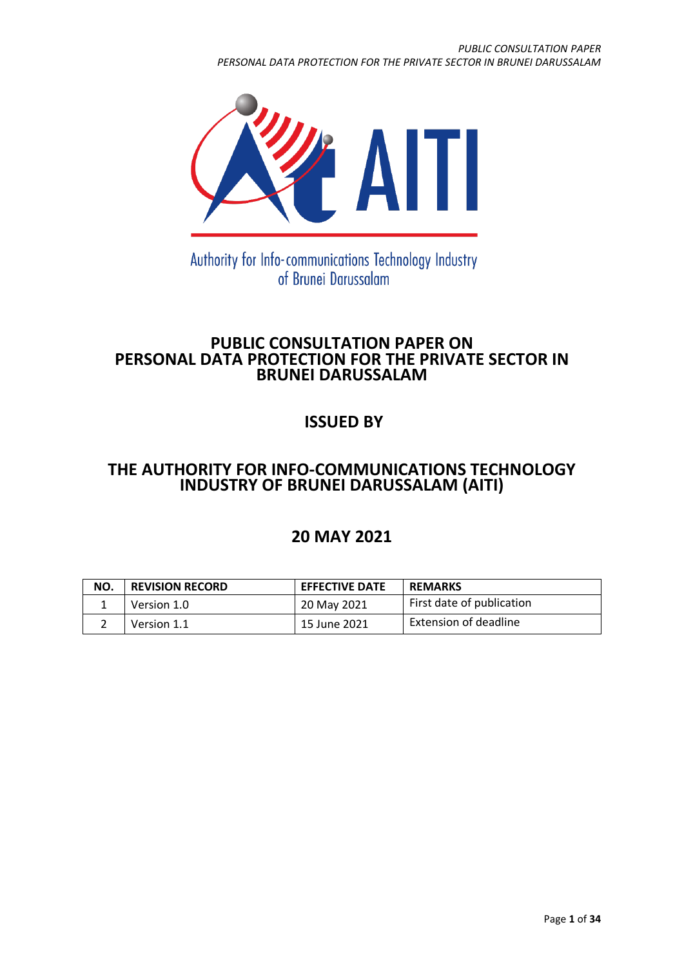

Authority for Info-communications Technology Industry of Brunei Darussalam

# **PUBLIC CONSULTATION PAPER ON PERSONAL DATA PROTECTION FOR THE PRIVATE SECTOR IN BRUNEI DARUSSALAM**

# **ISSUED BY**

# **THE AUTHORITY FOR INFO-COMMUNICATIONS TECHNOLOGY INDUSTRY OF BRUNEI DARUSSALAM (AITI)**

# **20 MAY 2021**

| NO. | <b>REVISION RECORD</b> | <b>EFFECTIVE DATE</b> | <b>REMARKS</b>               |
|-----|------------------------|-----------------------|------------------------------|
|     | Version 1.0            | 20 May 2021           | First date of publication    |
|     | Version 1.1            | 15 June 2021          | <b>Extension of deadline</b> |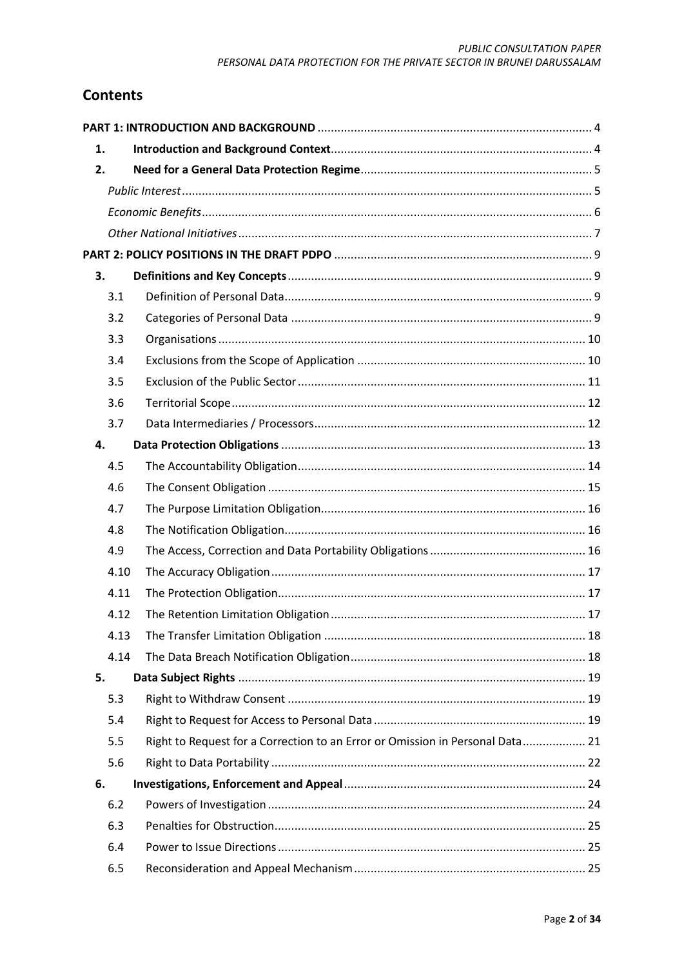# **Contents**

| 1. |      |                                                                               |  |
|----|------|-------------------------------------------------------------------------------|--|
| 2. |      |                                                                               |  |
|    |      |                                                                               |  |
|    |      |                                                                               |  |
|    |      |                                                                               |  |
|    |      |                                                                               |  |
| 3. |      |                                                                               |  |
|    | 3.1  |                                                                               |  |
|    | 3.2  |                                                                               |  |
|    | 3.3  |                                                                               |  |
|    | 3.4  |                                                                               |  |
|    | 3.5  |                                                                               |  |
|    | 3.6  |                                                                               |  |
|    | 3.7  |                                                                               |  |
| 4. |      |                                                                               |  |
|    | 4.5  |                                                                               |  |
|    | 4.6  |                                                                               |  |
|    | 4.7  |                                                                               |  |
|    | 4.8  |                                                                               |  |
|    | 4.9  |                                                                               |  |
|    | 4.10 |                                                                               |  |
|    | 4.11 |                                                                               |  |
|    | 4.12 |                                                                               |  |
|    | 4.13 |                                                                               |  |
|    | 4.14 |                                                                               |  |
| 5. |      |                                                                               |  |
|    | 5.3  |                                                                               |  |
|    | 5.4  |                                                                               |  |
|    | 5.5  | Right to Request for a Correction to an Error or Omission in Personal Data 21 |  |
|    | 5.6  |                                                                               |  |
| 6. |      |                                                                               |  |
|    | 6.2  |                                                                               |  |
|    | 6.3  |                                                                               |  |
|    | 6.4  |                                                                               |  |
|    | 6.5  |                                                                               |  |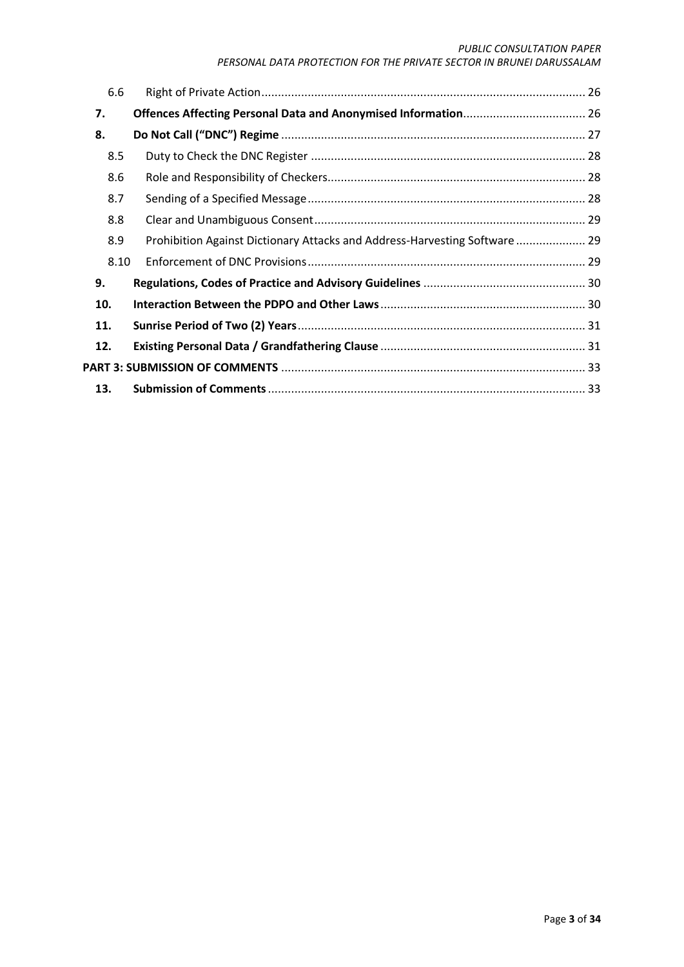| 6.6  |                                                                            |  |
|------|----------------------------------------------------------------------------|--|
| 7.   |                                                                            |  |
| 8.   |                                                                            |  |
| 8.5  |                                                                            |  |
| 8.6  |                                                                            |  |
| 8.7  |                                                                            |  |
| 8.8  |                                                                            |  |
| 8.9  | Prohibition Against Dictionary Attacks and Address-Harvesting Software  29 |  |
| 8.10 |                                                                            |  |
| 9.   |                                                                            |  |
| 10.  |                                                                            |  |
| 11.  |                                                                            |  |
| 12.  |                                                                            |  |
|      |                                                                            |  |
| 13.  |                                                                            |  |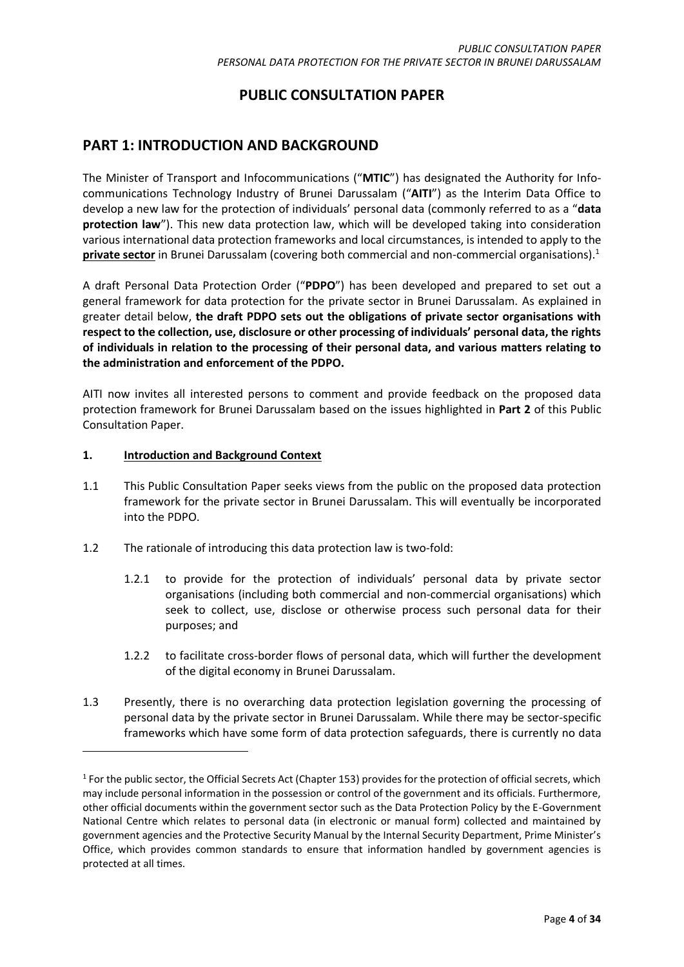# **PUBLIC CONSULTATION PAPER**

# <span id="page-3-0"></span>**PART 1: INTRODUCTION AND BACKGROUND**

The Minister of Transport and Infocommunications ("**MTIC**") has designated the Authority for Infocommunications Technology Industry of Brunei Darussalam ("**AITI**") as the Interim Data Office to develop a new law for the protection of individuals' personal data (commonly referred to as a "**data protection law**"). This new data protection law, which will be developed taking into consideration various international data protection frameworks and local circumstances, is intended to apply to the **private sector** in Brunei Darussalam (covering both commercial and non-commercial organisations). 1

A draft Personal Data Protection Order ("**PDPO**") has been developed and prepared to set out a general framework for data protection for the private sector in Brunei Darussalam. As explained in greater detail below, **the draft PDPO sets out the obligations of private sector organisations with respect to the collection, use, disclosure or other processing of individuals' personal data, the rights of individuals in relation to the processing of their personal data, and various matters relating to the administration and enforcement of the PDPO.**

AITI now invites all interested persons to comment and provide feedback on the proposed data protection framework for Brunei Darussalam based on the issues highlighted in **Part 2** of this Public Consultation Paper.

### <span id="page-3-1"></span>**1. Introduction and Background Context**

-

- 1.1 This Public Consultation Paper seeks views from the public on the proposed data protection framework for the private sector in Brunei Darussalam. This will eventually be incorporated into the PDPO.
- 1.2 The rationale of introducing this data protection law is two-fold:
	- 1.2.1 to provide for the protection of individuals' personal data by private sector organisations (including both commercial and non-commercial organisations) which seek to collect, use, disclose or otherwise process such personal data for their purposes; and
	- 1.2.2 to facilitate cross-border flows of personal data, which will further the development of the digital economy in Brunei Darussalam.
- 1.3 Presently, there is no overarching data protection legislation governing the processing of personal data by the private sector in Brunei Darussalam. While there may be sector-specific frameworks which have some form of data protection safeguards, there is currently no data

 $1$  For the public sector, the Official Secrets Act (Chapter 153) provides for the protection of official secrets, which may include personal information in the possession or control of the government and its officials. Furthermore, other official documents within the government sector such as the Data Protection Policy by the E-Government National Centre which relates to personal data (in electronic or manual form) collected and maintained by government agencies and the Protective Security Manual by the Internal Security Department, Prime Minister's Office, which provides common standards to ensure that information handled by government agencies is protected at all times.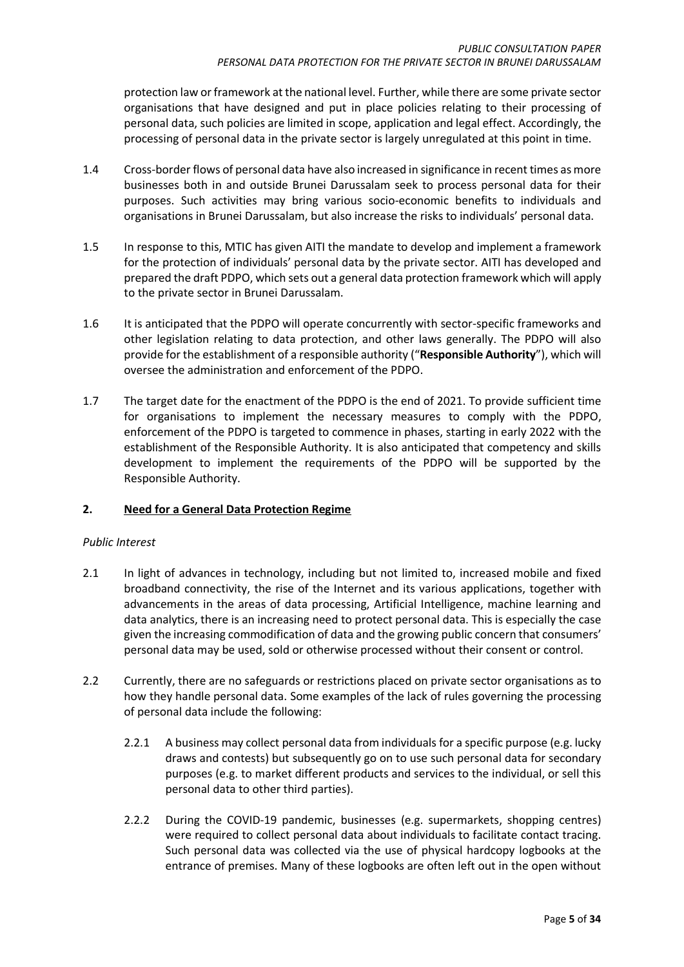protection law or framework at the national level. Further, while there are some private sector organisations that have designed and put in place policies relating to their processing of personal data, such policies are limited in scope, application and legal effect. Accordingly, the processing of personal data in the private sector is largely unregulated at this point in time.

- 1.4 Cross-border flows of personal data have also increased in significance in recent times as more businesses both in and outside Brunei Darussalam seek to process personal data for their purposes. Such activities may bring various socio-economic benefits to individuals and organisations in Brunei Darussalam, but also increase the risks to individuals' personal data.
- 1.5 In response to this, MTIC has given AITI the mandate to develop and implement a framework for the protection of individuals' personal data by the private sector. AITI has developed and prepared the draft PDPO, which sets out a general data protection framework which will apply to the private sector in Brunei Darussalam.
- 1.6 It is anticipated that the PDPO will operate concurrently with sector-specific frameworks and other legislation relating to data protection, and other laws generally. The PDPO will also provide for the establishment of a responsible authority ("**Responsible Authority**"), which will oversee the administration and enforcement of the PDPO.
- 1.7 The target date for the enactment of the PDPO is the end of 2021. To provide sufficient time for organisations to implement the necessary measures to comply with the PDPO, enforcement of the PDPO is targeted to commence in phases, starting in early 2022 with the establishment of the Responsible Authority. It is also anticipated that competency and skills development to implement the requirements of the PDPO will be supported by the Responsible Authority.

# <span id="page-4-0"></span>**2. Need for a General Data Protection Regime**

### <span id="page-4-1"></span>*Public Interest*

- 2.1 In light of advances in technology, including but not limited to, increased mobile and fixed broadband connectivity, the rise of the Internet and its various applications, together with advancements in the areas of data processing, Artificial Intelligence, machine learning and data analytics, there is an increasing need to protect personal data. This is especially the case given the increasing commodification of data and the growing public concern that consumers' personal data may be used, sold or otherwise processed without their consent or control.
- 2.2 Currently, there are no safeguards or restrictions placed on private sector organisations as to how they handle personal data. Some examples of the lack of rules governing the processing of personal data include the following:
	- 2.2.1 A business may collect personal data from individuals for a specific purpose (e.g. lucky draws and contests) but subsequently go on to use such personal data for secondary purposes (e.g. to market different products and services to the individual, or sell this personal data to other third parties).
	- 2.2.2 During the COVID-19 pandemic, businesses (e.g. supermarkets, shopping centres) were required to collect personal data about individuals to facilitate contact tracing. Such personal data was collected via the use of physical hardcopy logbooks at the entrance of premises. Many of these logbooks are often left out in the open without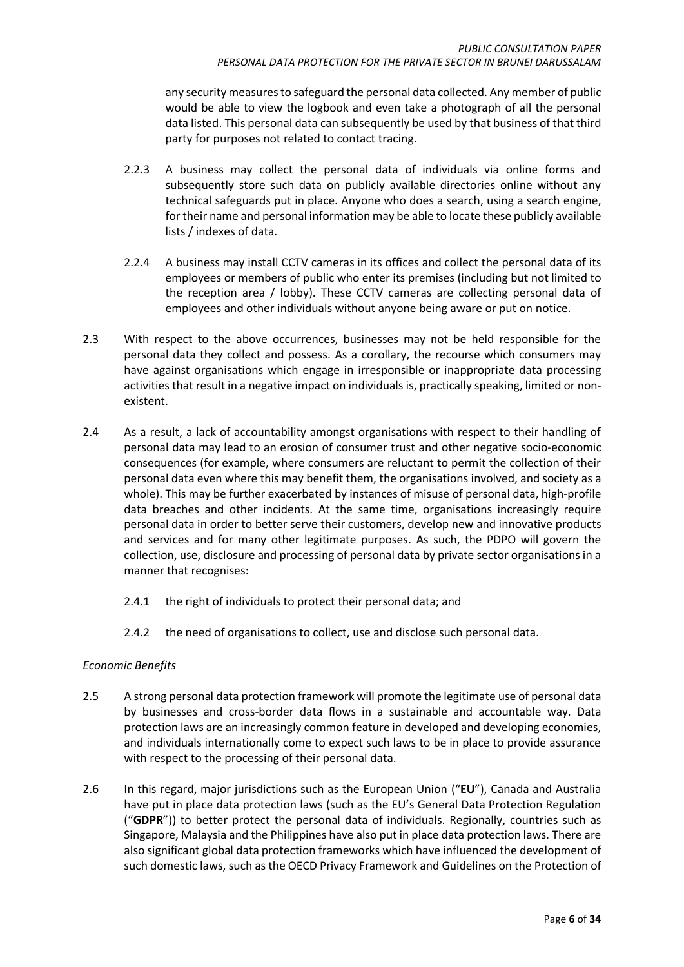any security measures to safeguard the personal data collected. Any member of public would be able to view the logbook and even take a photograph of all the personal data listed. This personal data can subsequently be used by that business of that third party for purposes not related to contact tracing.

- 2.2.3 A business may collect the personal data of individuals via online forms and subsequently store such data on publicly available directories online without any technical safeguards put in place. Anyone who does a search, using a search engine, for their name and personal information may be able to locate these publicly available lists / indexes of data.
- 2.2.4 A business may install CCTV cameras in its offices and collect the personal data of its employees or members of public who enter its premises (including but not limited to the reception area / lobby). These CCTV cameras are collecting personal data of employees and other individuals without anyone being aware or put on notice.
- 2.3 With respect to the above occurrences, businesses may not be held responsible for the personal data they collect and possess. As a corollary, the recourse which consumers may have against organisations which engage in irresponsible or inappropriate data processing activities that result in a negative impact on individuals is, practically speaking, limited or nonexistent.
- 2.4 As a result, a lack of accountability amongst organisations with respect to their handling of personal data may lead to an erosion of consumer trust and other negative socio-economic consequences (for example, where consumers are reluctant to permit the collection of their personal data even where this may benefit them, the organisations involved, and society as a whole). This may be further exacerbated by instances of misuse of personal data, high-profile data breaches and other incidents. At the same time, organisations increasingly require personal data in order to better serve their customers, develop new and innovative products and services and for many other legitimate purposes. As such, the PDPO will govern the collection, use, disclosure and processing of personal data by private sector organisations in a manner that recognises:
	- 2.4.1 the right of individuals to protect their personal data; and
	- 2.4.2 the need of organisations to collect, use and disclose such personal data.

# <span id="page-5-0"></span>*Economic Benefits*

- 2.5 A strong personal data protection framework will promote the legitimate use of personal data by businesses and cross-border data flows in a sustainable and accountable way. Data protection laws are an increasingly common feature in developed and developing economies, and individuals internationally come to expect such laws to be in place to provide assurance with respect to the processing of their personal data.
- 2.6 In this regard, major jurisdictions such as the European Union ("**EU**"), Canada and Australia have put in place data protection laws (such as the EU's General Data Protection Regulation ("**GDPR**")) to better protect the personal data of individuals. Regionally, countries such as Singapore, Malaysia and the Philippines have also put in place data protection laws. There are also significant global data protection frameworks which have influenced the development of such domestic laws, such as the OECD Privacy Framework and Guidelines on the Protection of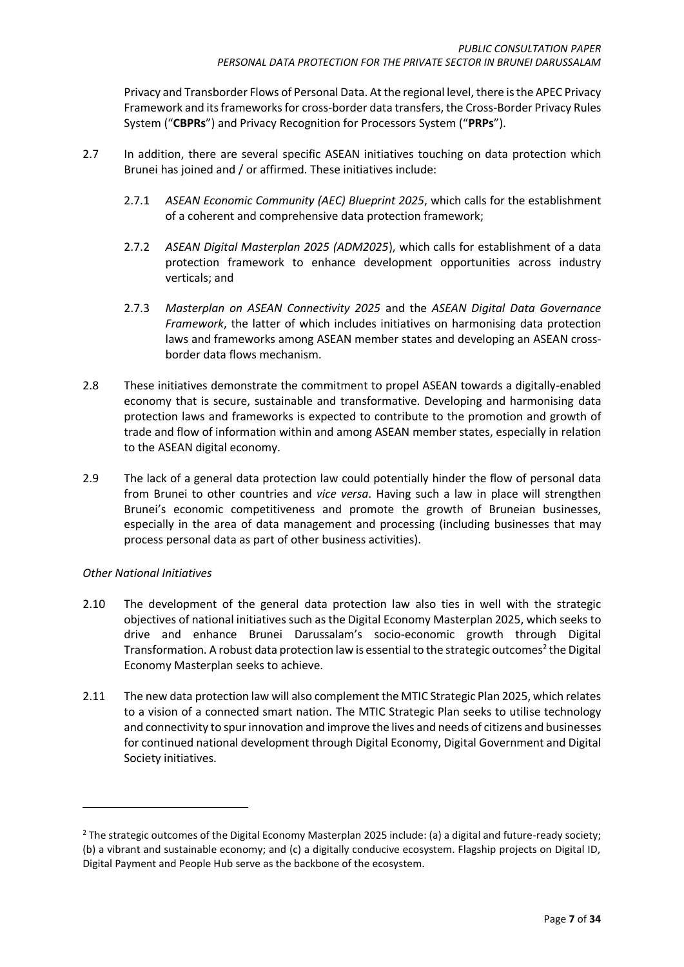Privacy and Transborder Flows of Personal Data. At the regional level, there is the APEC Privacy Framework and its frameworks for cross-border data transfers, the Cross-Border Privacy Rules System ("**CBPRs**") and Privacy Recognition for Processors System ("**PRPs**").

- 2.7 In addition, there are several specific ASEAN initiatives touching on data protection which Brunei has joined and / or affirmed. These initiatives include:
	- 2.7.1 *ASEAN Economic Community (AEC) Blueprint 2025*, which calls for the establishment of a coherent and comprehensive data protection framework;
	- 2.7.2 *ASEAN Digital Masterplan 2025 (ADM2025*), which calls for establishment of a data protection framework to enhance development opportunities across industry verticals; and
	- 2.7.3 *Masterplan on ASEAN Connectivity 2025* and the *ASEAN Digital Data Governance Framework*, the latter of which includes initiatives on harmonising data protection laws and frameworks among ASEAN member states and developing an ASEAN crossborder data flows mechanism.
- 2.8 These initiatives demonstrate the commitment to propel ASEAN towards a digitally-enabled economy that is secure, sustainable and transformative. Developing and harmonising data protection laws and frameworks is expected to contribute to the promotion and growth of trade and flow of information within and among ASEAN member states, especially in relation to the ASEAN digital economy.
- 2.9 The lack of a general data protection law could potentially hinder the flow of personal data from Brunei to other countries and *vice versa*. Having such a law in place will strengthen Brunei's economic competitiveness and promote the growth of Bruneian businesses, especially in the area of data management and processing (including businesses that may process personal data as part of other business activities).

# <span id="page-6-0"></span>*Other National Initiatives*

1

- 2.10 The development of the general data protection law also ties in well with the strategic objectives of national initiatives such as the Digital Economy Masterplan 2025, which seeks to drive and enhance Brunei Darussalam's socio-economic growth through Digital Transformation. A robust data protection law is essential to the strategic outcomes<sup>2</sup> the Digital Economy Masterplan seeks to achieve.
- 2.11 The new data protection law will also complement the MTIC Strategic Plan 2025, which relates to a vision of a connected smart nation. The MTIC Strategic Plan seeks to utilise technology and connectivity to spur innovation and improve the lives and needs of citizens and businesses for continued national development through Digital Economy, Digital Government and Digital Society initiatives.

<sup>&</sup>lt;sup>2</sup> The strategic outcomes of the Digital Economy Masterplan 2025 include: (a) a digital and future-ready society; (b) a vibrant and sustainable economy; and (c) a digitally conducive ecosystem. Flagship projects on Digital ID, Digital Payment and People Hub serve as the backbone of the ecosystem.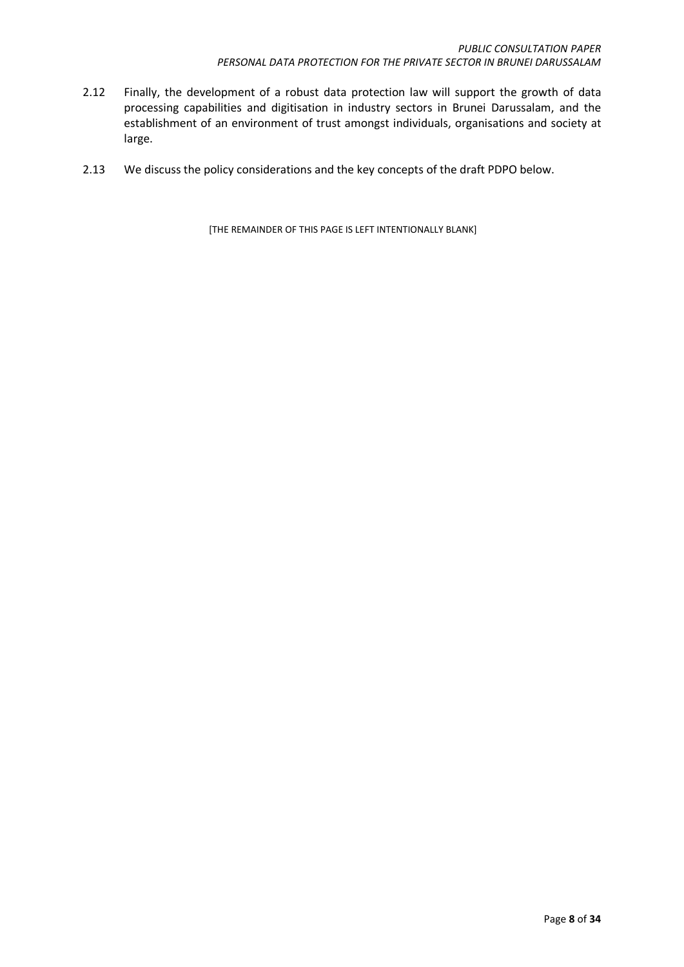- 2.12 Finally, the development of a robust data protection law will support the growth of data processing capabilities and digitisation in industry sectors in Brunei Darussalam, and the establishment of an environment of trust amongst individuals, organisations and society at large.
- 2.13 We discuss the policy considerations and the key concepts of the draft PDPO below.

[THE REMAINDER OF THIS PAGE IS LEFT INTENTIONALLY BLANK]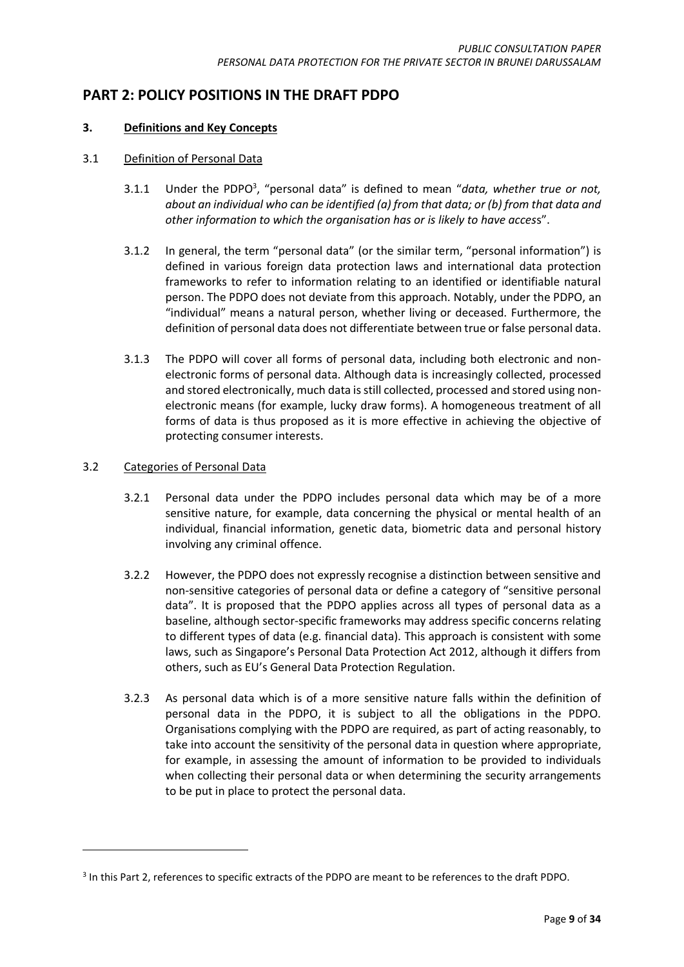# <span id="page-8-0"></span>**PART 2: POLICY POSITIONS IN THE DRAFT PDPO**

## <span id="page-8-1"></span>**3. Definitions and Key Concepts**

### <span id="page-8-2"></span>3.1 Definition of Personal Data

- 3.1.1 Under the PDPO<sup>3</sup>, "personal data" is defined to mean "*data, whether true or not, about an individual who can be identified (a) from that data; or (b) from that data and other information to which the organisation has or is likely to have acces*s".
- 3.1.2 In general, the term "personal data" (or the similar term, "personal information") is defined in various foreign data protection laws and international data protection frameworks to refer to information relating to an identified or identifiable natural person. The PDPO does not deviate from this approach. Notably, under the PDPO, an "individual" means a natural person, whether living or deceased. Furthermore, the definition of personal data does not differentiate between true or false personal data.
- 3.1.3 The PDPO will cover all forms of personal data, including both electronic and nonelectronic forms of personal data. Although data is increasingly collected, processed and stored electronically, much data is still collected, processed and stored using nonelectronic means (for example, lucky draw forms). A homogeneous treatment of all forms of data is thus proposed as it is more effective in achieving the objective of protecting consumer interests.

### <span id="page-8-3"></span>3.2 Categories of Personal Data

-

- 3.2.1 Personal data under the PDPO includes personal data which may be of a more sensitive nature, for example, data concerning the physical or mental health of an individual, financial information, genetic data, biometric data and personal history involving any criminal offence.
- 3.2.2 However, the PDPO does not expressly recognise a distinction between sensitive and non-sensitive categories of personal data or define a category of "sensitive personal data". It is proposed that the PDPO applies across all types of personal data as a baseline, although sector-specific frameworks may address specific concerns relating to different types of data (e.g. financial data). This approach is consistent with some laws, such as Singapore's Personal Data Protection Act 2012, although it differs from others, such as EU's General Data Protection Regulation.
- 3.2.3 As personal data which is of a more sensitive nature falls within the definition of personal data in the PDPO, it is subject to all the obligations in the PDPO. Organisations complying with the PDPO are required, as part of acting reasonably, to take into account the sensitivity of the personal data in question where appropriate, for example, in assessing the amount of information to be provided to individuals when collecting their personal data or when determining the security arrangements to be put in place to protect the personal data.

<sup>&</sup>lt;sup>3</sup> In this Part 2, references to specific extracts of the PDPO are meant to be references to the draft PDPO.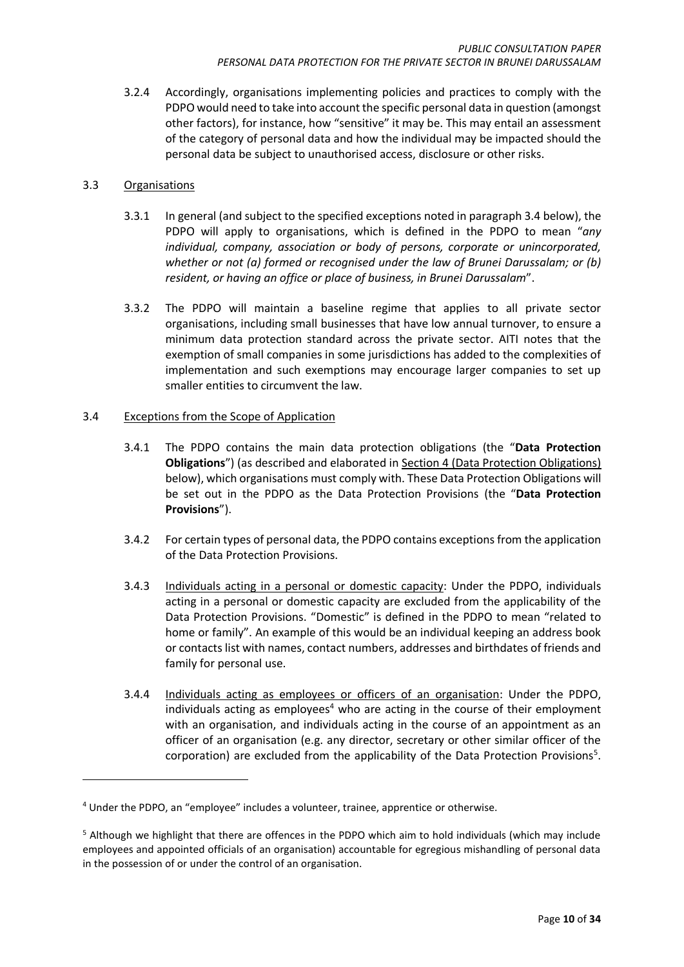3.2.4 Accordingly, organisations implementing policies and practices to comply with the PDPO would need to take into account the specific personal data in question (amongst other factors), for instance, how "sensitive" it may be. This may entail an assessment of the category of personal data and how the individual may be impacted should the personal data be subject to unauthorised access, disclosure or other risks.

## <span id="page-9-0"></span>3.3 Organisations

1

- 3.3.1 In general (and subject to the specified exceptions noted in paragraph 3.4 below), the PDPO will apply to organisations, which is defined in the PDPO to mean "*any individual, company, association or body of persons, corporate or unincorporated, whether or not (a) formed or recognised under the law of Brunei Darussalam; or (b) resident, or having an office or place of business, in Brunei Darussalam*".
- 3.3.2 The PDPO will maintain a baseline regime that applies to all private sector organisations, including small businesses that have low annual turnover, to ensure a minimum data protection standard across the private sector. AITI notes that the exemption of small companies in some jurisdictions has added to the complexities of implementation and such exemptions may encourage larger companies to set up smaller entities to circumvent the law.

## <span id="page-9-1"></span>3.4 Exceptions from the Scope of Application

- 3.4.1 The PDPO contains the main data protection obligations (the "**Data Protection Obligations**") (as described and elaborated in Section [4](#page-12-0) (Data Protection Obligations) below), which organisations must comply with. These Data Protection Obligations will be set out in the PDPO as the Data Protection Provisions (the "**Data Protection Provisions**").
- 3.4.2 For certain types of personal data, the PDPO contains exceptions from the application of the Data Protection Provisions.
- 3.4.3 Individuals acting in a personal or domestic capacity: Under the PDPO, individuals acting in a personal or domestic capacity are excluded from the applicability of the Data Protection Provisions. "Domestic" is defined in the PDPO to mean "related to home or family". An example of this would be an individual keeping an address book or contacts list with names, contact numbers, addresses and birthdates of friends and family for personal use.
- 3.4.4 Individuals acting as employees or officers of an organisation: Under the PDPO, individuals acting as employees $4$  who are acting in the course of their employment with an organisation, and individuals acting in the course of an appointment as an officer of an organisation (e.g. any director, secretary or other similar officer of the corporation) are excluded from the applicability of the Data Protection Provisions<sup>5</sup>.

<sup>4</sup> Under the PDPO, an "employee" includes a volunteer, trainee, apprentice or otherwise.

<sup>5</sup> Although we highlight that there are offences in the PDPO which aim to hold individuals (which may include employees and appointed officials of an organisation) accountable for egregious mishandling of personal data in the possession of or under the control of an organisation.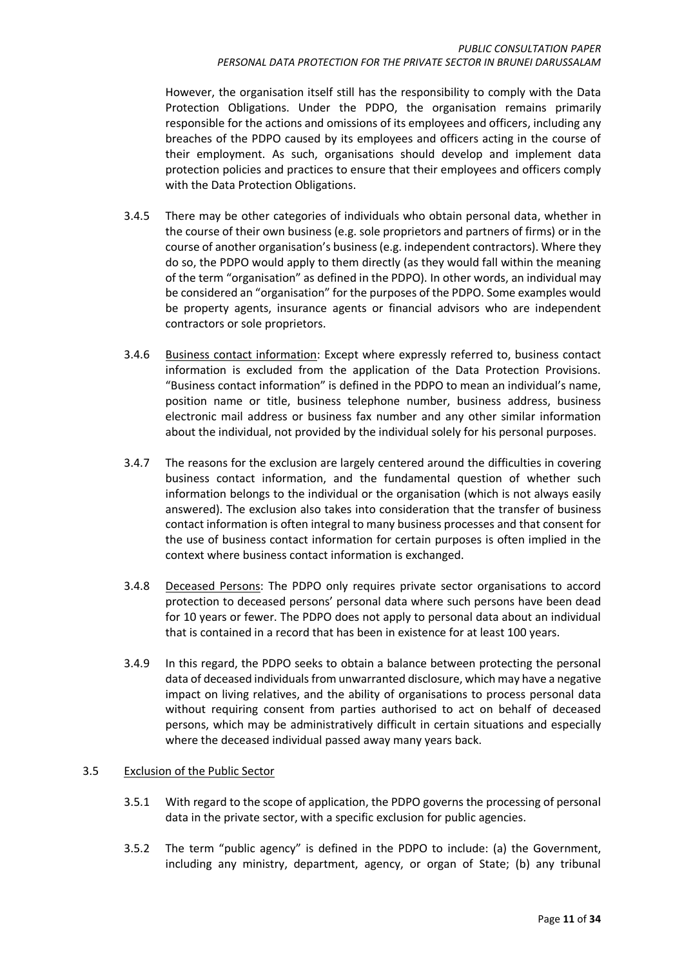However, the organisation itself still has the responsibility to comply with the Data Protection Obligations. Under the PDPO, the organisation remains primarily responsible for the actions and omissions of its employees and officers, including any breaches of the PDPO caused by its employees and officers acting in the course of their employment. As such, organisations should develop and implement data protection policies and practices to ensure that their employees and officers comply with the Data Protection Obligations.

- 3.4.5 There may be other categories of individuals who obtain personal data, whether in the course of their own business (e.g. sole proprietors and partners of firms) or in the course of another organisation's business(e.g. independent contractors). Where they do so, the PDPO would apply to them directly (as they would fall within the meaning of the term "organisation" as defined in the PDPO). In other words, an individual may be considered an "organisation" for the purposes of the PDPO. Some examples would be property agents, insurance agents or financial advisors who are independent contractors or sole proprietors.
- 3.4.6 Business contact information: Except where expressly referred to, business contact information is excluded from the application of the Data Protection Provisions. "Business contact information" is defined in the PDPO to mean an individual's name, position name or title, business telephone number, business address, business electronic mail address or business fax number and any other similar information about the individual, not provided by the individual solely for his personal purposes.
- 3.4.7 The reasons for the exclusion are largely centered around the difficulties in covering business contact information, and the fundamental question of whether such information belongs to the individual or the organisation (which is not always easily answered). The exclusion also takes into consideration that the transfer of business contact information is often integral to many business processes and that consent for the use of business contact information for certain purposes is often implied in the context where business contact information is exchanged.
- 3.4.8 Deceased Persons: The PDPO only requires private sector organisations to accord protection to deceased persons' personal data where such persons have been dead for 10 years or fewer. The PDPO does not apply to personal data about an individual that is contained in a record that has been in existence for at least 100 years.
- 3.4.9 In this regard, the PDPO seeks to obtain a balance between protecting the personal data of deceased individuals from unwarranted disclosure, which may have a negative impact on living relatives, and the ability of organisations to process personal data without requiring consent from parties authorised to act on behalf of deceased persons, which may be administratively difficult in certain situations and especially where the deceased individual passed away many years back.

# <span id="page-10-0"></span>3.5 Exclusion of the Public Sector

- 3.5.1 With regard to the scope of application, the PDPO governs the processing of personal data in the private sector, with a specific exclusion for public agencies.
- 3.5.2 The term "public agency" is defined in the PDPO to include: (a) the Government, including any ministry, department, agency, or organ of State; (b) any tribunal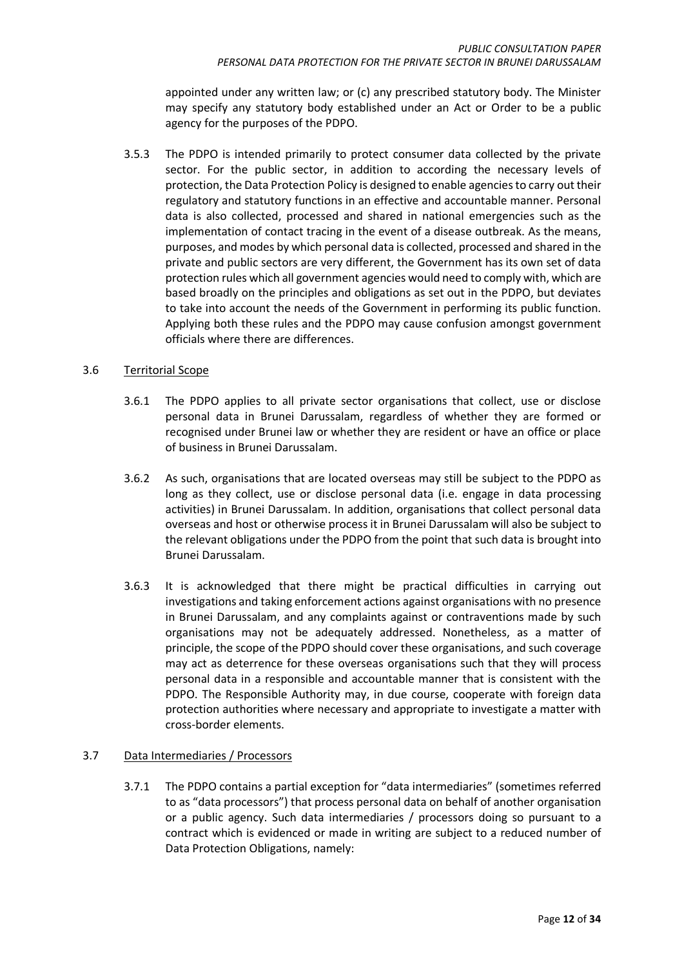appointed under any written law; or (c) any prescribed statutory body. The Minister may specify any statutory body established under an Act or Order to be a public agency for the purposes of the PDPO.

3.5.3 The PDPO is intended primarily to protect consumer data collected by the private sector. For the public sector, in addition to according the necessary levels of protection, the Data Protection Policy is designed to enable agencies to carry out their regulatory and statutory functions in an effective and accountable manner. Personal data is also collected, processed and shared in national emergencies such as the implementation of contact tracing in the event of a disease outbreak. As the means, purposes, and modes by which personal data is collected, processed and shared in the private and public sectors are very different, the Government has its own set of data protection rules which all government agencies would need to comply with, which are based broadly on the principles and obligations as set out in the PDPO, but deviates to take into account the needs of the Government in performing its public function. Applying both these rules and the PDPO may cause confusion amongst government officials where there are differences.

# <span id="page-11-0"></span>3.6 Territorial Scope

- 3.6.1 The PDPO applies to all private sector organisations that collect, use or disclose personal data in Brunei Darussalam, regardless of whether they are formed or recognised under Brunei law or whether they are resident or have an office or place of business in Brunei Darussalam.
- 3.6.2 As such, organisations that are located overseas may still be subject to the PDPO as long as they collect, use or disclose personal data (i.e. engage in data processing activities) in Brunei Darussalam. In addition, organisations that collect personal data overseas and host or otherwise process it in Brunei Darussalam will also be subject to the relevant obligations under the PDPO from the point that such data is brought into Brunei Darussalam.
- 3.6.3 It is acknowledged that there might be practical difficulties in carrying out investigations and taking enforcement actions against organisations with no presence in Brunei Darussalam, and any complaints against or contraventions made by such organisations may not be adequately addressed. Nonetheless, as a matter of principle, the scope of the PDPO should cover these organisations, and such coverage may act as deterrence for these overseas organisations such that they will process personal data in a responsible and accountable manner that is consistent with the PDPO. The Responsible Authority may, in due course, cooperate with foreign data protection authorities where necessary and appropriate to investigate a matter with cross-border elements.

# <span id="page-11-1"></span>3.7 Data Intermediaries / Processors

3.7.1 The PDPO contains a partial exception for "data intermediaries" (sometimes referred to as "data processors") that process personal data on behalf of another organisation or a public agency. Such data intermediaries / processors doing so pursuant to a contract which is evidenced or made in writing are subject to a reduced number of Data Protection Obligations, namely: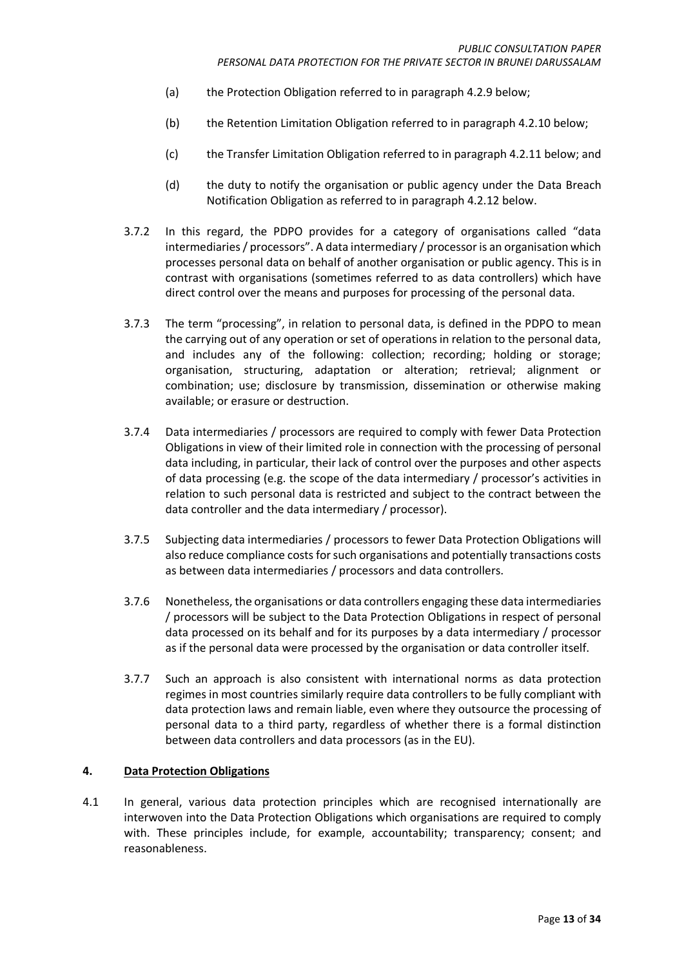*PERSONAL DATA PROTECTION FOR THE PRIVATE SECTOR IN BRUNEI DARUSSALAM*

- (a) the Protection Obligation referred to in paragraph 4.2.9 below;
- (b) the Retention Limitation Obligation referred to in paragraph 4.2.10 below;
- (c) the Transfer Limitation Obligation referred to in paragraph 4.2.11 below; and
- (d) the duty to notify the organisation or public agency under the Data Breach Notification Obligation as referred to in paragraph 4.2.12 below.
- 3.7.2 In this regard, the PDPO provides for a category of organisations called "data intermediaries/ processors". A data intermediary / processoris an organisation which processes personal data on behalf of another organisation or public agency. This is in contrast with organisations (sometimes referred to as data controllers) which have direct control over the means and purposes for processing of the personal data.
- 3.7.3 The term "processing", in relation to personal data, is defined in the PDPO to mean the carrying out of any operation or set of operations in relation to the personal data, and includes any of the following: collection; recording; holding or storage; organisation, structuring, adaptation or alteration; retrieval; alignment or combination; use; disclosure by transmission, dissemination or otherwise making available; or erasure or destruction.
- 3.7.4 Data intermediaries / processors are required to comply with fewer Data Protection Obligations in view of their limited role in connection with the processing of personal data including, in particular, their lack of control over the purposes and other aspects of data processing (e.g. the scope of the data intermediary / processor's activities in relation to such personal data is restricted and subject to the contract between the data controller and the data intermediary / processor).
- 3.7.5 Subjecting data intermediaries / processors to fewer Data Protection Obligations will also reduce compliance costs for such organisations and potentially transactions costs as between data intermediaries / processors and data controllers.
- 3.7.6 Nonetheless, the organisations or data controllers engaging these data intermediaries / processors will be subject to the Data Protection Obligations in respect of personal data processed on its behalf and for its purposes by a data intermediary / processor as if the personal data were processed by the organisation or data controller itself.
- 3.7.7 Such an approach is also consistent with international norms as data protection regimes in most countries similarly require data controllers to be fully compliant with data protection laws and remain liable, even where they outsource the processing of personal data to a third party, regardless of whether there is a formal distinction between data controllers and data processors (as in the EU).

#### <span id="page-12-0"></span>**4. Data Protection Obligations**

4.1 In general, various data protection principles which are recognised internationally are interwoven into the Data Protection Obligations which organisations are required to comply with. These principles include, for example, accountability; transparency; consent; and reasonableness.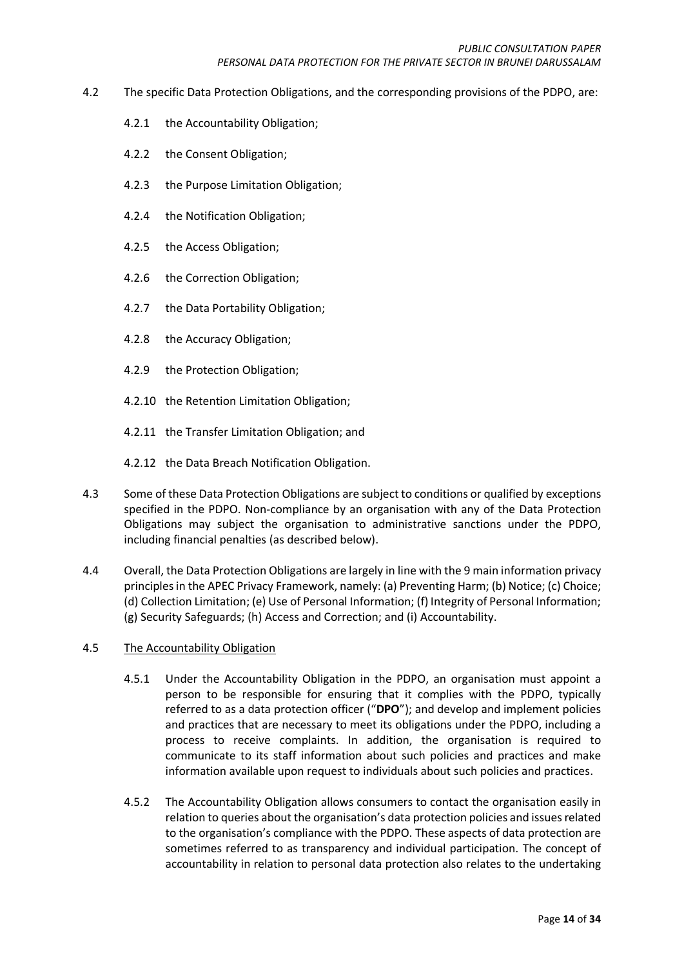*PERSONAL DATA PROTECTION FOR THE PRIVATE SECTOR IN BRUNEI DARUSSALAM*

- 4.2 The specific Data Protection Obligations, and the corresponding provisions of the PDPO, are:
	- 4.2.1 the Accountability Obligation;
	- 4.2.2 the Consent Obligation;
	- 4.2.3 the Purpose Limitation Obligation;
	- 4.2.4 the Notification Obligation;
	- 4.2.5 the Access Obligation;
	- 4.2.6 the Correction Obligation;
	- 4.2.7 the Data Portability Obligation;
	- 4.2.8 the Accuracy Obligation;
	- 4.2.9 the Protection Obligation;
	- 4.2.10 the Retention Limitation Obligation;
	- 4.2.11 the Transfer Limitation Obligation; and
	- 4.2.12 the Data Breach Notification Obligation.
- 4.3 Some of these Data Protection Obligations are subject to conditions or qualified by exceptions specified in the PDPO. Non-compliance by an organisation with any of the Data Protection Obligations may subject the organisation to administrative sanctions under the PDPO, including financial penalties (as described below).
- 4.4 Overall, the Data Protection Obligations are largely in line with the 9 main information privacy principles in the APEC Privacy Framework, namely: (a) Preventing Harm; (b) Notice; (c) Choice; (d) Collection Limitation; (e) Use of Personal Information; (f) Integrity of Personal Information; (g) Security Safeguards; (h) Access and Correction; and (i) Accountability.

#### <span id="page-13-0"></span>4.5 The Accountability Obligation

- 4.5.1 Under the Accountability Obligation in the PDPO, an organisation must appoint a person to be responsible for ensuring that it complies with the PDPO, typically referred to as a data protection officer ("**DPO**"); and develop and implement policies and practices that are necessary to meet its obligations under the PDPO, including a process to receive complaints. In addition, the organisation is required to communicate to its staff information about such policies and practices and make information available upon request to individuals about such policies and practices.
- 4.5.2 The Accountability Obligation allows consumers to contact the organisation easily in relation to queries about the organisation's data protection policies and issues related to the organisation's compliance with the PDPO. These aspects of data protection are sometimes referred to as transparency and individual participation. The concept of accountability in relation to personal data protection also relates to the undertaking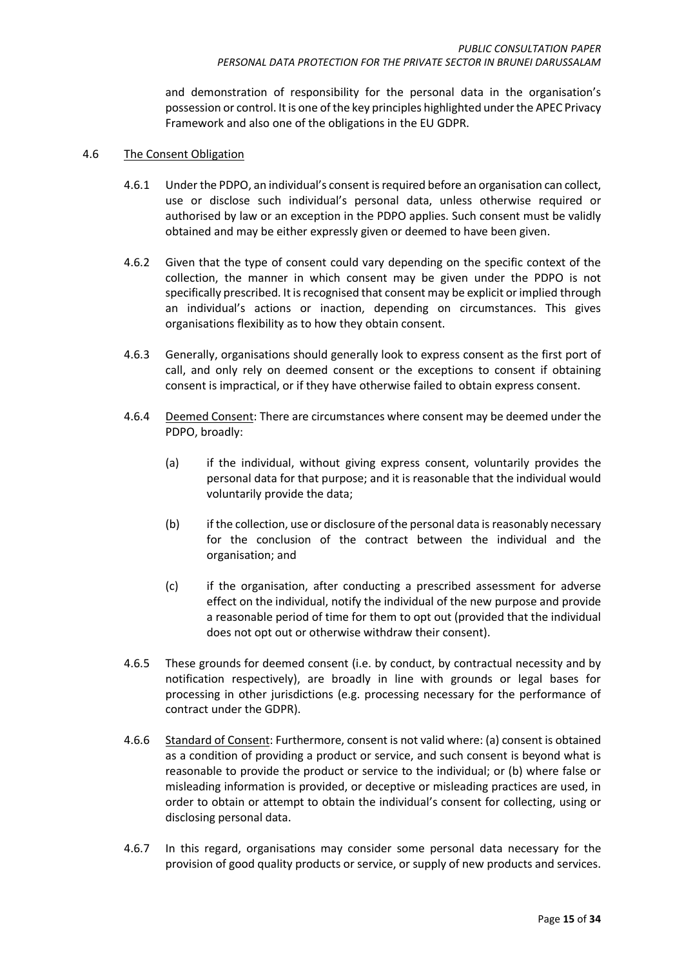and demonstration of responsibility for the personal data in the organisation's possession or control. It is one of the key principles highlighted under the APEC Privacy Framework and also one of the obligations in the EU GDPR.

#### <span id="page-14-0"></span>4.6 The Consent Obligation

- 4.6.1 Under the PDPO, an individual's consent is required before an organisation can collect, use or disclose such individual's personal data, unless otherwise required or authorised by law or an exception in the PDPO applies. Such consent must be validly obtained and may be either expressly given or deemed to have been given.
- 4.6.2 Given that the type of consent could vary depending on the specific context of the collection, the manner in which consent may be given under the PDPO is not specifically prescribed. It is recognised that consent may be explicit or implied through an individual's actions or inaction, depending on circumstances. This gives organisations flexibility as to how they obtain consent.
- 4.6.3 Generally, organisations should generally look to express consent as the first port of call, and only rely on deemed consent or the exceptions to consent if obtaining consent is impractical, or if they have otherwise failed to obtain express consent.
- 4.6.4 Deemed Consent: There are circumstances where consent may be deemed under the PDPO, broadly:
	- (a) if the individual, without giving express consent, voluntarily provides the personal data for that purpose; and it is reasonable that the individual would voluntarily provide the data;
	- (b) if the collection, use or disclosure of the personal data is reasonably necessary for the conclusion of the contract between the individual and the organisation; and
	- (c) if the organisation, after conducting a prescribed assessment for adverse effect on the individual, notify the individual of the new purpose and provide a reasonable period of time for them to opt out (provided that the individual does not opt out or otherwise withdraw their consent).
- 4.6.5 These grounds for deemed consent (i.e. by conduct, by contractual necessity and by notification respectively), are broadly in line with grounds or legal bases for processing in other jurisdictions (e.g. processing necessary for the performance of contract under the GDPR).
- 4.6.6 Standard of Consent: Furthermore, consent is not valid where: (a) consent is obtained as a condition of providing a product or service, and such consent is beyond what is reasonable to provide the product or service to the individual; or (b) where false or misleading information is provided, or deceptive or misleading practices are used, in order to obtain or attempt to obtain the individual's consent for collecting, using or disclosing personal data.
- 4.6.7 In this regard, organisations may consider some personal data necessary for the provision of good quality products or service, or supply of new products and services.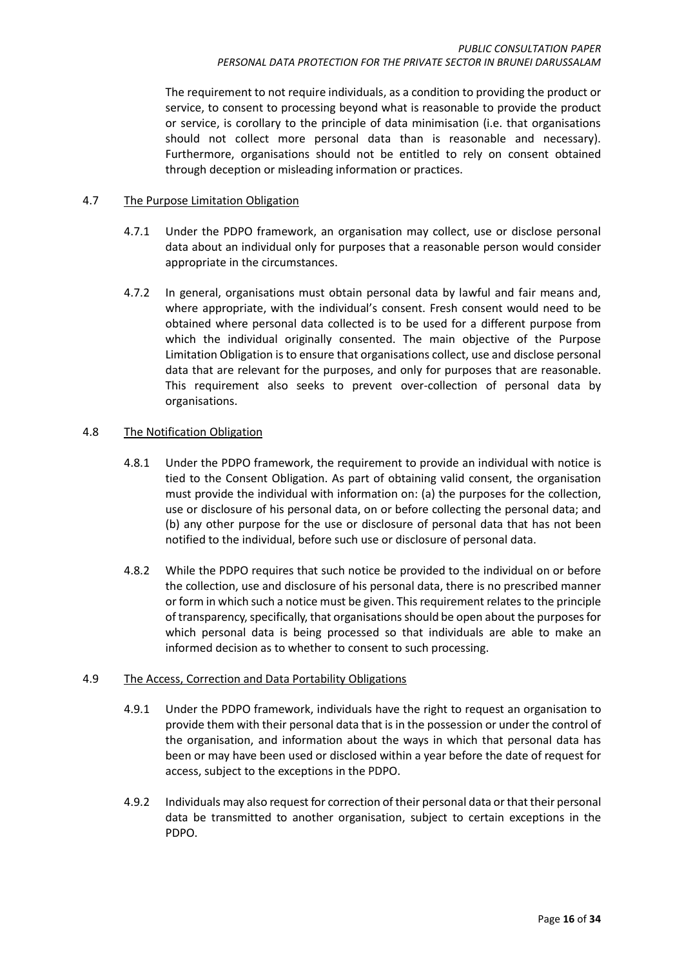The requirement to not require individuals, as a condition to providing the product or service, to consent to processing beyond what is reasonable to provide the product or service, is corollary to the principle of data minimisation (i.e. that organisations should not collect more personal data than is reasonable and necessary). Furthermore, organisations should not be entitled to rely on consent obtained through deception or misleading information or practices.

## <span id="page-15-0"></span>4.7 The Purpose Limitation Obligation

- 4.7.1 Under the PDPO framework, an organisation may collect, use or disclose personal data about an individual only for purposes that a reasonable person would consider appropriate in the circumstances.
- 4.7.2 In general, organisations must obtain personal data by lawful and fair means and, where appropriate, with the individual's consent. Fresh consent would need to be obtained where personal data collected is to be used for a different purpose from which the individual originally consented. The main objective of the Purpose Limitation Obligation is to ensure that organisations collect, use and disclose personal data that are relevant for the purposes, and only for purposes that are reasonable. This requirement also seeks to prevent over-collection of personal data by organisations.

## <span id="page-15-1"></span>4.8 The Notification Obligation

- 4.8.1 Under the PDPO framework, the requirement to provide an individual with notice is tied to the Consent Obligation. As part of obtaining valid consent, the organisation must provide the individual with information on: (a) the purposes for the collection, use or disclosure of his personal data, on or before collecting the personal data; and (b) any other purpose for the use or disclosure of personal data that has not been notified to the individual, before such use or disclosure of personal data.
- 4.8.2 While the PDPO requires that such notice be provided to the individual on or before the collection, use and disclosure of his personal data, there is no prescribed manner or form in which such a notice must be given. This requirement relates to the principle of transparency, specifically, that organisations should be open about the purposes for which personal data is being processed so that individuals are able to make an informed decision as to whether to consent to such processing.

### <span id="page-15-2"></span>4.9 The Access, Correction and Data Portability Obligations

- 4.9.1 Under the PDPO framework, individuals have the right to request an organisation to provide them with their personal data that is in the possession or under the control of the organisation, and information about the ways in which that personal data has been or may have been used or disclosed within a year before the date of request for access, subject to the exceptions in the PDPO.
- 4.9.2 Individuals may also request for correction of their personal data or that their personal data be transmitted to another organisation, subject to certain exceptions in the PDPO.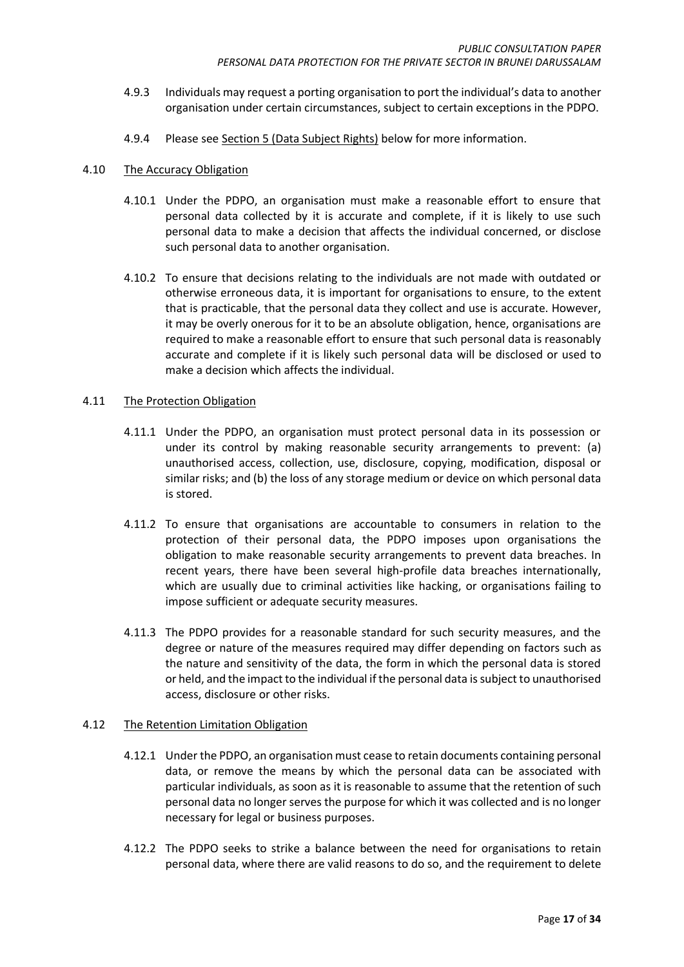- 4.9.3 Individuals may request a porting organisation to port the individual's data to another organisation under certain circumstances, subject to certain exceptions in the PDPO.
- 4.9.4 Please see Sectio[n 5](#page-18-0) (Data Subject Rights) below for more information.

#### <span id="page-16-0"></span>4.10 The Accuracy Obligation

- 4.10.1 Under the PDPO, an organisation must make a reasonable effort to ensure that personal data collected by it is accurate and complete, if it is likely to use such personal data to make a decision that affects the individual concerned, or disclose such personal data to another organisation.
- 4.10.2 To ensure that decisions relating to the individuals are not made with outdated or otherwise erroneous data, it is important for organisations to ensure, to the extent that is practicable, that the personal data they collect and use is accurate. However, it may be overly onerous for it to be an absolute obligation, hence, organisations are required to make a reasonable effort to ensure that such personal data is reasonably accurate and complete if it is likely such personal data will be disclosed or used to make a decision which affects the individual.

#### <span id="page-16-1"></span>4.11 The Protection Obligation

- 4.11.1 Under the PDPO, an organisation must protect personal data in its possession or under its control by making reasonable security arrangements to prevent: (a) unauthorised access, collection, use, disclosure, copying, modification, disposal or similar risks; and (b) the loss of any storage medium or device on which personal data is stored.
- 4.11.2 To ensure that organisations are accountable to consumers in relation to the protection of their personal data, the PDPO imposes upon organisations the obligation to make reasonable security arrangements to prevent data breaches. In recent years, there have been several high-profile data breaches internationally, which are usually due to criminal activities like hacking, or organisations failing to impose sufficient or adequate security measures.
- 4.11.3 The PDPO provides for a reasonable standard for such security measures, and the degree or nature of the measures required may differ depending on factors such as the nature and sensitivity of the data, the form in which the personal data is stored or held, and the impact to the individual if the personal data is subject to unauthorised access, disclosure or other risks.

#### <span id="page-16-2"></span>4.12 The Retention Limitation Obligation

- 4.12.1 Under the PDPO, an organisation must cease to retain documents containing personal data, or remove the means by which the personal data can be associated with particular individuals, as soon as it is reasonable to assume that the retention of such personal data no longer serves the purpose for which it was collected and is no longer necessary for legal or business purposes.
- 4.12.2 The PDPO seeks to strike a balance between the need for organisations to retain personal data, where there are valid reasons to do so, and the requirement to delete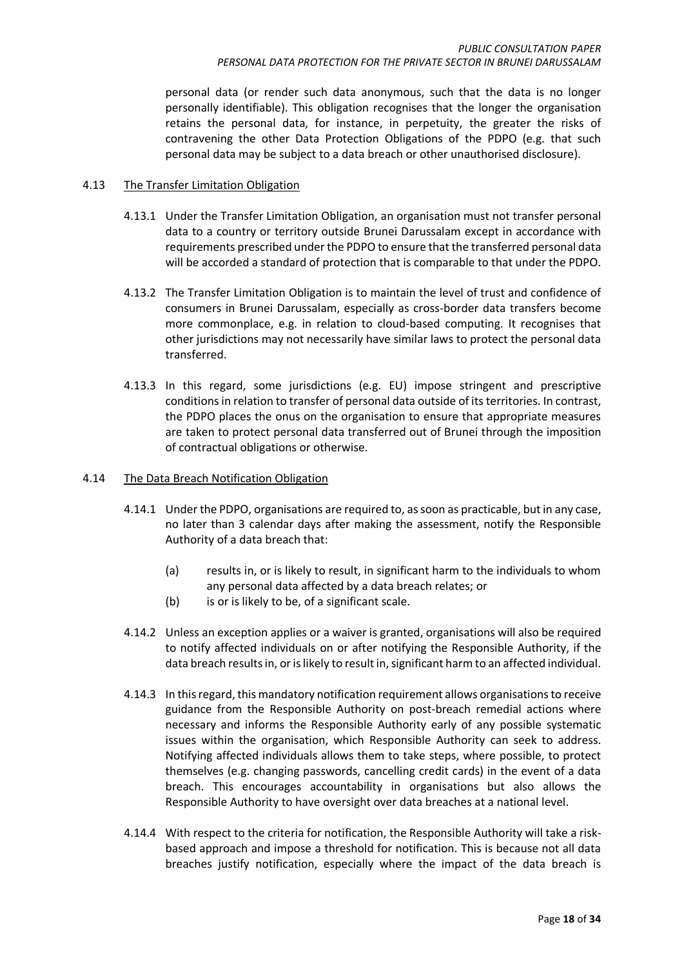personal data (or render such data anonymous, such that the data is no longer personally identifiable). This obligation recognises that the longer the organisation retains the personal data, for instance, in perpetuity, the greater the risks of contravening the other Data Protection Obligations of the PDPO (e.g. that such personal data may be subject to a data breach or other unauthorised disclosure).

### <span id="page-17-0"></span>4.13 The Transfer Limitation Obligation

- 4.13.1 Under the Transfer Limitation Obligation, an organisation must not transfer personal data to a country or territory outside Brunei Darussalam except in accordance with requirements prescribed under the PDPO to ensure that the transferred personal data will be accorded a standard of protection that is comparable to that under the PDPO.
- 4.13.2 The Transfer Limitation Obligation is to maintain the level of trust and confidence of consumers in Brunei Darussalam, especially as cross-border data transfers become more commonplace, e.g. in relation to cloud-based computing. It recognises that other jurisdictions may not necessarily have similar laws to protect the personal data transferred.
- 4.13.3 In this regard, some jurisdictions (e.g. EU) impose stringent and prescriptive conditions in relation to transfer of personal data outside of its territories. In contrast, the PDPO places the onus on the organisation to ensure that appropriate measures are taken to protect personal data transferred out of Brunei through the imposition of contractual obligations or otherwise.

### <span id="page-17-1"></span>4.14 The Data Breach Notification Obligation

- 4.14.1 Under the PDPO, organisations are required to, as soon as practicable, but in any case, no later than 3 calendar days after making the assessment, notify the Responsible Authority of a data breach that:
	- (a) results in, or is likely to result, in significant harm to the individuals to whom any personal data affected by a data breach relates; or
	- (b) is or is likely to be, of a significant scale.
- 4.14.2 Unless an exception applies or a waiver is granted, organisations will also be required to notify affected individuals on or after notifying the Responsible Authority, if the data breach results in, or is likely to result in, significant harm to an affected individual.
- 4.14.3 In this regard, this mandatory notification requirement allows organisations to receive guidance from the Responsible Authority on post-breach remedial actions where necessary and informs the Responsible Authority early of any possible systematic issues within the organisation, which Responsible Authority can seek to address. Notifying affected individuals allows them to take steps, where possible, to protect themselves (e.g. changing passwords, cancelling credit cards) in the event of a data breach. This encourages accountability in organisations but also allows the Responsible Authority to have oversight over data breaches at a national level.
- 4.14.4 With respect to the criteria for notification, the Responsible Authority will take a riskbased approach and impose a threshold for notification. This is because not all data breaches justify notification, especially where the impact of the data breach is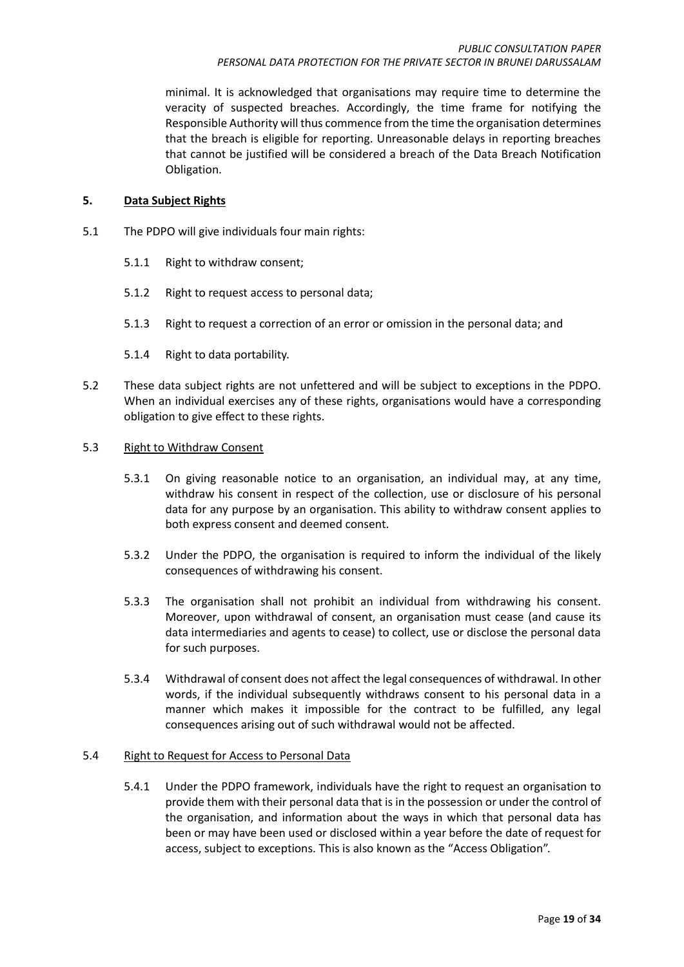minimal. It is acknowledged that organisations may require time to determine the veracity of suspected breaches. Accordingly, the time frame for notifying the Responsible Authority will thus commence from the time the organisation determines that the breach is eligible for reporting. Unreasonable delays in reporting breaches that cannot be justified will be considered a breach of the Data Breach Notification Obligation.

### <span id="page-18-0"></span>**5. Data Subject Rights**

- 5.1 The PDPO will give individuals four main rights:
	- 5.1.1 Right to withdraw consent;
	- 5.1.2 Right to request access to personal data;
	- 5.1.3 Right to request a correction of an error or omission in the personal data; and
	- 5.1.4 Right to data portability.
- 5.2 These data subject rights are not unfettered and will be subject to exceptions in the PDPO. When an individual exercises any of these rights, organisations would have a corresponding obligation to give effect to these rights.

### <span id="page-18-1"></span>5.3 Right to Withdraw Consent

- 5.3.1 On giving reasonable notice to an organisation, an individual may, at any time, withdraw his consent in respect of the collection, use or disclosure of his personal data for any purpose by an organisation. This ability to withdraw consent applies to both express consent and deemed consent.
- 5.3.2 Under the PDPO, the organisation is required to inform the individual of the likely consequences of withdrawing his consent.
- 5.3.3 The organisation shall not prohibit an individual from withdrawing his consent. Moreover, upon withdrawal of consent, an organisation must cease (and cause its data intermediaries and agents to cease) to collect, use or disclose the personal data for such purposes.
- 5.3.4 Withdrawal of consent does not affect the legal consequences of withdrawal. In other words, if the individual subsequently withdraws consent to his personal data in a manner which makes it impossible for the contract to be fulfilled, any legal consequences arising out of such withdrawal would not be affected.

### <span id="page-18-2"></span>5.4 Right to Request for Access to Personal Data

5.4.1 Under the PDPO framework, individuals have the right to request an organisation to provide them with their personal data that is in the possession or under the control of the organisation, and information about the ways in which that personal data has been or may have been used or disclosed within a year before the date of request for access, subject to exceptions. This is also known as the "Access Obligation".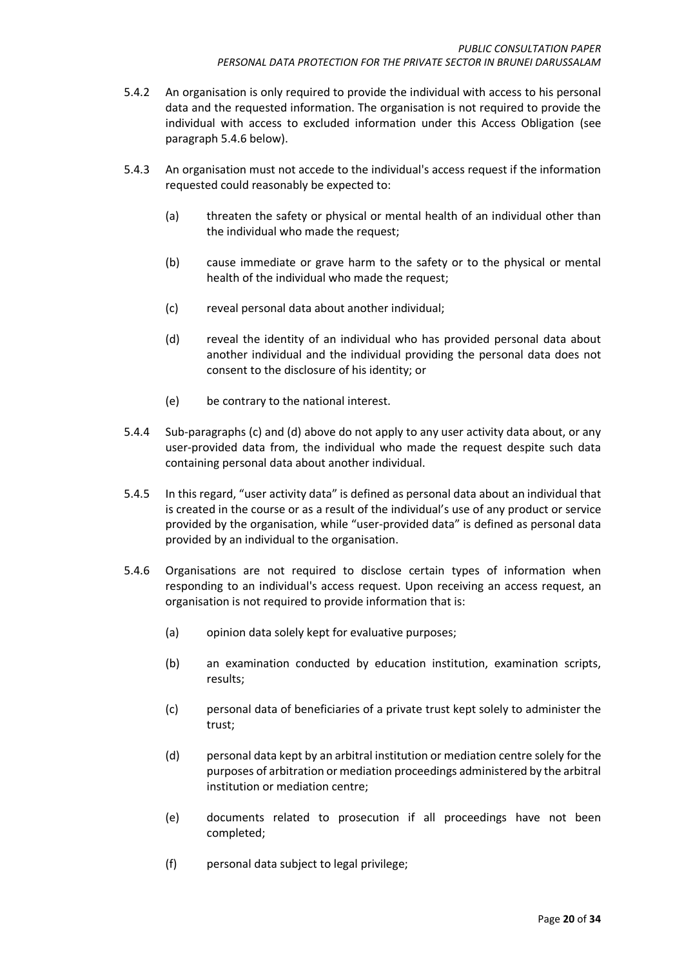- 5.4.2 An organisation is only required to provide the individual with access to his personal data and the requested information. The organisation is not required to provide the individual with access to excluded information under this Access Obligation (see paragraph 5.4.6 below).
- 5.4.3 An organisation must not accede to the individual's access request if the information requested could reasonably be expected to:
	- (a) threaten the safety or physical or mental health of an individual other than the individual who made the request;
	- (b) cause immediate or grave harm to the safety or to the physical or mental health of the individual who made the request;
	- (c) reveal personal data about another individual;
	- (d) reveal the identity of an individual who has provided personal data about another individual and the individual providing the personal data does not consent to the disclosure of his identity; or
	- (e) be contrary to the national interest.
- 5.4.4 Sub-paragraphs (c) and (d) above do not apply to any user activity data about, or any user-provided data from, the individual who made the request despite such data containing personal data about another individual.
- 5.4.5 In this regard, "user activity data" is defined as personal data about an individual that is created in the course or as a result of the individual's use of any product or service provided by the organisation, while "user-provided data" is defined as personal data provided by an individual to the organisation.
- 5.4.6 Organisations are not required to disclose certain types of information when responding to an individual's access request. Upon receiving an access request, an organisation is not required to provide information that is:
	- (a) opinion data solely kept for evaluative purposes;
	- (b) an examination conducted by education institution, examination scripts, results;
	- (c) personal data of beneficiaries of a private trust kept solely to administer the trust;
	- (d) personal data kept by an arbitral institution or mediation centre solely for the purposes of arbitration or mediation proceedings administered by the arbitral institution or mediation centre;
	- (e) documents related to prosecution if all proceedings have not been completed;
	- (f) personal data subject to legal privilege;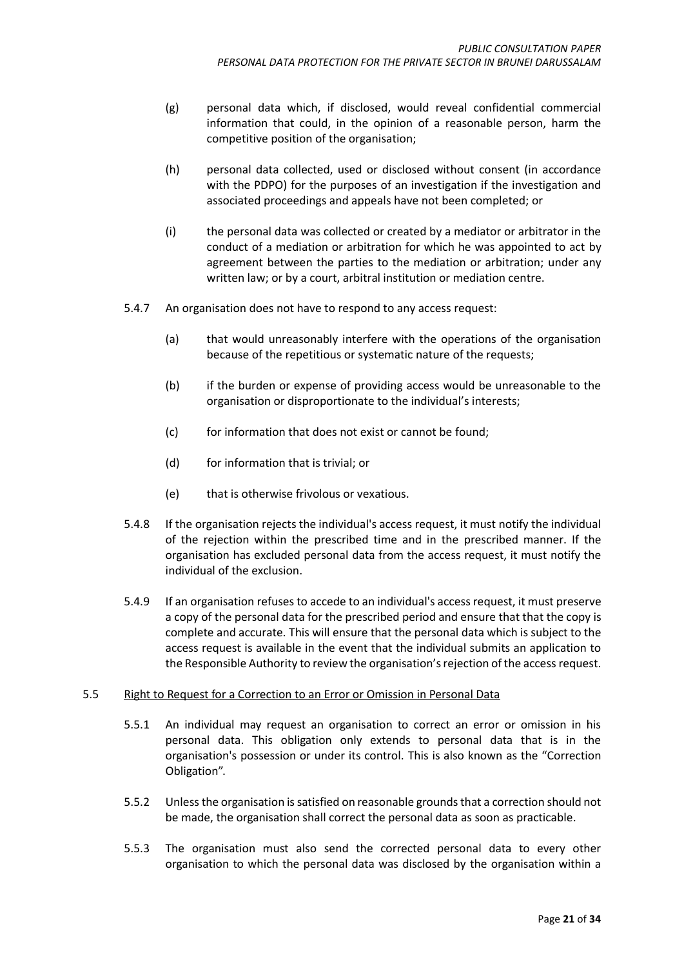- (g) personal data which, if disclosed, would reveal confidential commercial information that could, in the opinion of a reasonable person, harm the competitive position of the organisation;
- (h) personal data collected, used or disclosed without consent (in accordance with the PDPO) for the purposes of an investigation if the investigation and associated proceedings and appeals have not been completed; or
- (i) the personal data was collected or created by a mediator or arbitrator in the conduct of a mediation or arbitration for which he was appointed to act by agreement between the parties to the mediation or arbitration; under any written law; or by a court, arbitral institution or mediation centre.
- 5.4.7 An organisation does not have to respond to any access request:
	- (a) that would unreasonably interfere with the operations of the organisation because of the repetitious or systematic nature of the requests;
	- (b) if the burden or expense of providing access would be unreasonable to the organisation or disproportionate to the individual's interests;
	- (c) for information that does not exist or cannot be found:
	- (d) for information that is trivial; or
	- (e) that is otherwise frivolous or vexatious.
- 5.4.8 If the organisation rejects the individual's access request, it must notify the individual of the rejection within the prescribed time and in the prescribed manner. If the organisation has excluded personal data from the access request, it must notify the individual of the exclusion.
- 5.4.9 If an organisation refuses to accede to an individual's access request, it must preserve a copy of the personal data for the prescribed period and ensure that that the copy is complete and accurate. This will ensure that the personal data which is subject to the access request is available in the event that the individual submits an application to the Responsible Authority to review the organisation's rejection of the access request.

### <span id="page-20-0"></span>5.5 Right to Request for a Correction to an Error or Omission in Personal Data

- 5.5.1 An individual may request an organisation to correct an error or omission in his personal data. This obligation only extends to personal data that is in the organisation's possession or under its control. This is also known as the "Correction Obligation".
- 5.5.2 Unless the organisation issatisfied on reasonable grounds that a correction should not be made, the organisation shall correct the personal data as soon as practicable.
- 5.5.3 The organisation must also send the corrected personal data to every other organisation to which the personal data was disclosed by the organisation within a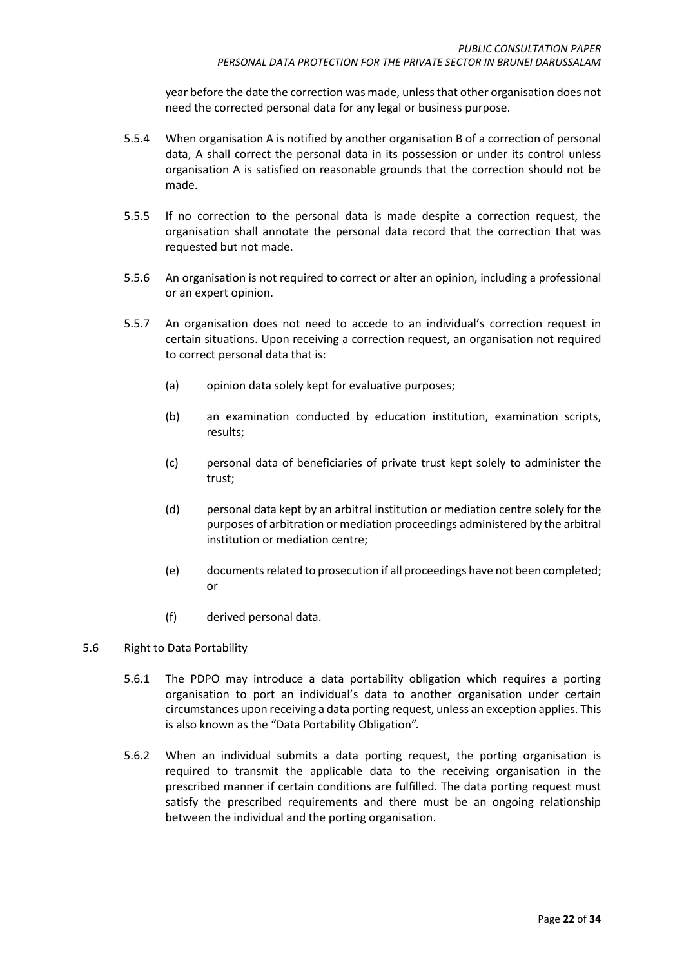year before the date the correction was made, unless that other organisation does not need the corrected personal data for any legal or business purpose.

- 5.5.4 When organisation A is notified by another organisation B of a correction of personal data, A shall correct the personal data in its possession or under its control unless organisation A is satisfied on reasonable grounds that the correction should not be made.
- 5.5.5 If no correction to the personal data is made despite a correction request, the organisation shall annotate the personal data record that the correction that was requested but not made.
- 5.5.6 An organisation is not required to correct or alter an opinion, including a professional or an expert opinion.
- 5.5.7 An organisation does not need to accede to an individual's correction request in certain situations. Upon receiving a correction request, an organisation not required to correct personal data that is:
	- (a) opinion data solely kept for evaluative purposes;
	- (b) an examination conducted by education institution, examination scripts, results;
	- (c) personal data of beneficiaries of private trust kept solely to administer the trust;
	- (d) personal data kept by an arbitral institution or mediation centre solely for the purposes of arbitration or mediation proceedings administered by the arbitral institution or mediation centre;
	- (e) documents related to prosecution if all proceedings have not been completed; or
	- (f) derived personal data.

### <span id="page-21-0"></span>5.6 Right to Data Portability

- 5.6.1 The PDPO may introduce a data portability obligation which requires a porting organisation to port an individual's data to another organisation under certain circumstances upon receiving a data porting request, unless an exception applies. This is also known as the "Data Portability Obligation".
- 5.6.2 When an individual submits a data porting request, the porting organisation is required to transmit the applicable data to the receiving organisation in the prescribed manner if certain conditions are fulfilled. The data porting request must satisfy the prescribed requirements and there must be an ongoing relationship between the individual and the porting organisation.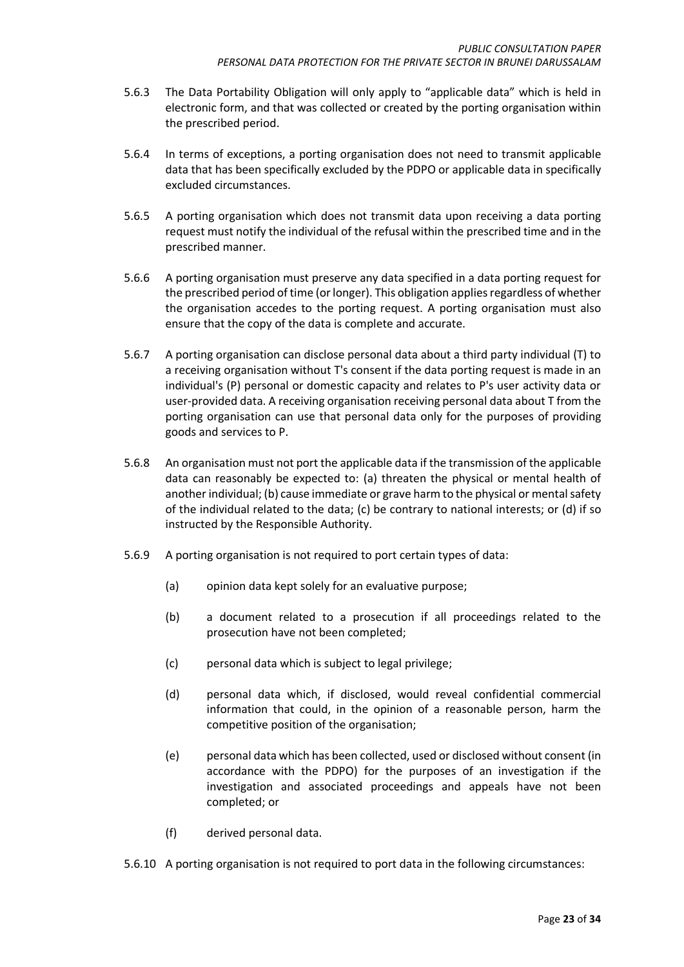- 5.6.3 The Data Portability Obligation will only apply to "applicable data" which is held in electronic form, and that was collected or created by the porting organisation within the prescribed period.
- 5.6.4 In terms of exceptions, a porting organisation does not need to transmit applicable data that has been specifically excluded by the PDPO or applicable data in specifically excluded circumstances.
- 5.6.5 A porting organisation which does not transmit data upon receiving a data porting request must notify the individual of the refusal within the prescribed time and in the prescribed manner.
- 5.6.6 A porting organisation must preserve any data specified in a data porting request for the prescribed period of time (or longer). This obligation applies regardless of whether the organisation accedes to the porting request. A porting organisation must also ensure that the copy of the data is complete and accurate.
- 5.6.7 A porting organisation can disclose personal data about a third party individual (T) to a receiving organisation without T's consent if the data porting request is made in an individual's (P) personal or domestic capacity and relates to P's user activity data or user-provided data. A receiving organisation receiving personal data about T from the porting organisation can use that personal data only for the purposes of providing goods and services to P.
- 5.6.8 An organisation must not port the applicable data if the transmission of the applicable data can reasonably be expected to: (a) threaten the physical or mental health of another individual; (b) cause immediate or grave harm to the physical or mental safety of the individual related to the data; (c) be contrary to national interests; or (d) if so instructed by the Responsible Authority.
- 5.6.9 A porting organisation is not required to port certain types of data:
	- (a) opinion data kept solely for an evaluative purpose;
	- (b) a document related to a prosecution if all proceedings related to the prosecution have not been completed;
	- (c) personal data which is subject to legal privilege;
	- (d) personal data which, if disclosed, would reveal confidential commercial information that could, in the opinion of a reasonable person, harm the competitive position of the organisation;
	- (e) personal data which has been collected, used or disclosed without consent (in accordance with the PDPO) for the purposes of an investigation if the investigation and associated proceedings and appeals have not been completed; or
	- (f) derived personal data.
- 5.6.10 A porting organisation is not required to port data in the following circumstances: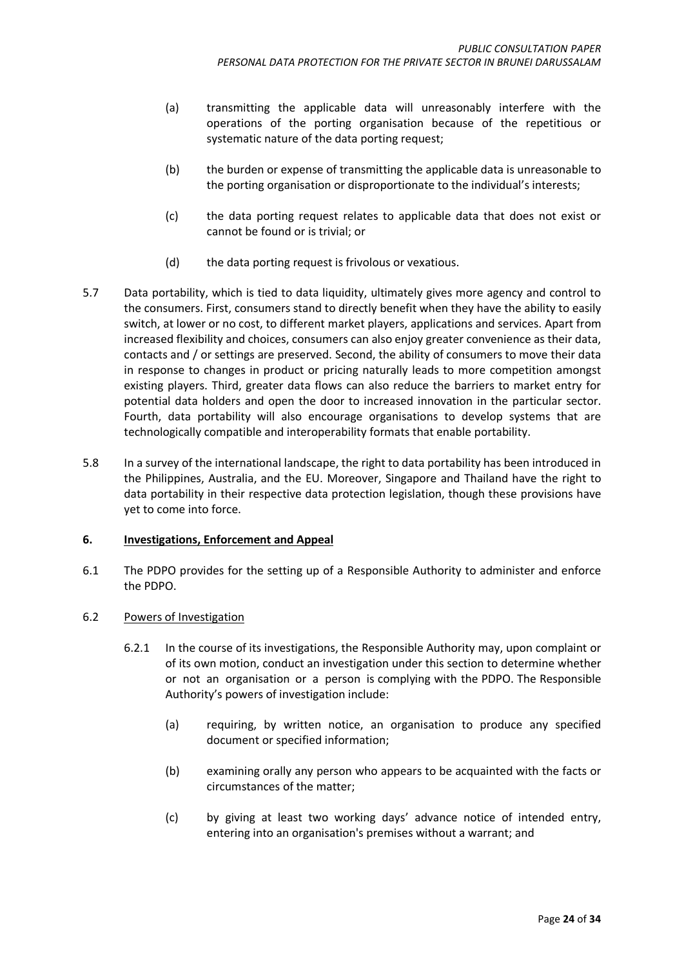- (a) transmitting the applicable data will unreasonably interfere with the operations of the porting organisation because of the repetitious or systematic nature of the data porting request;
- (b) the burden or expense of transmitting the applicable data is unreasonable to the porting organisation or disproportionate to the individual's interests;
- (c) the data porting request relates to applicable data that does not exist or cannot be found or is trivial; or
- (d) the data porting request is frivolous or vexatious.
- 5.7 Data portability, which is tied to data liquidity, ultimately gives more agency and control to the consumers. First, consumers stand to directly benefit when they have the ability to easily switch, at lower or no cost, to different market players, applications and services. Apart from increased flexibility and choices, consumers can also enjoy greater convenience as their data, contacts and / or settings are preserved. Second, the ability of consumers to move their data in response to changes in product or pricing naturally leads to more competition amongst existing players. Third, greater data flows can also reduce the barriers to market entry for potential data holders and open the door to increased innovation in the particular sector. Fourth, data portability will also encourage organisations to develop systems that are technologically compatible and interoperability formats that enable portability.
- 5.8 In a survey of the international landscape, the right to data portability has been introduced in the Philippines, Australia, and the EU. Moreover, Singapore and Thailand have the right to data portability in their respective data protection legislation, though these provisions have yet to come into force.

### <span id="page-23-0"></span>**6. Investigations, Enforcement and Appeal**

- 6.1 The PDPO provides for the setting up of a Responsible Authority to administer and enforce the PDPO.
- <span id="page-23-1"></span>6.2 Powers of Investigation
	- 6.2.1 In the course of its investigations, the Responsible Authority may, upon complaint or of its own motion, conduct an investigation under this section to determine whether or not an organisation or a person is complying with the PDPO. The Responsible Authority's powers of investigation include:
		- (a) requiring, by written notice, an organisation to produce any specified document or specified information;
		- (b) examining orally any person who appears to be acquainted with the facts or circumstances of the matter;
		- (c) by giving at least two working days' advance notice of intended entry, entering into an organisation's premises without a warrant; and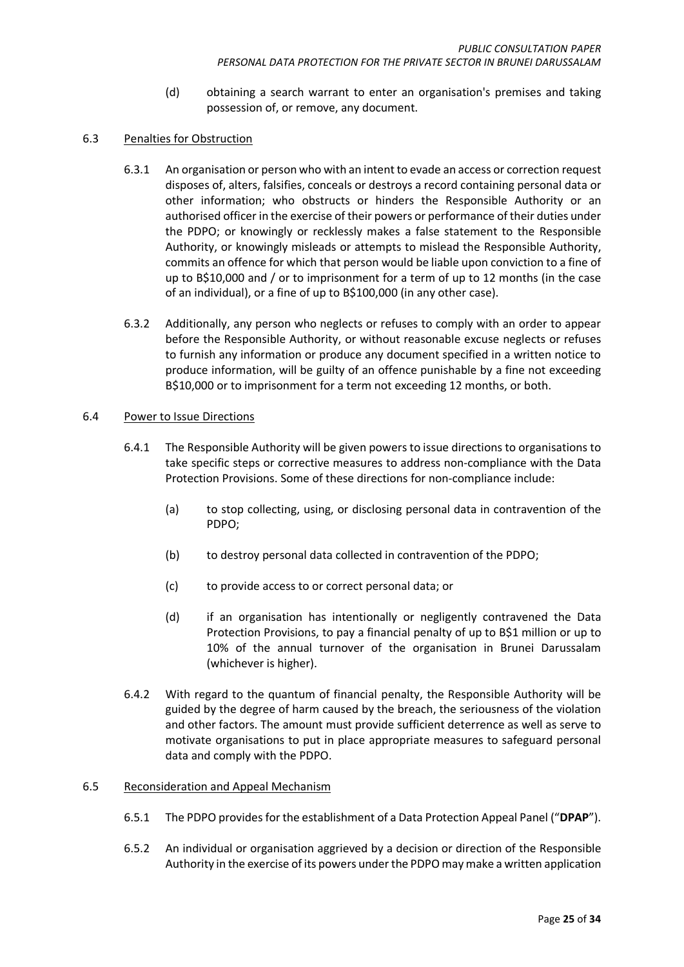- (d) obtaining a search warrant to enter an organisation's premises and taking possession of, or remove, any document.
- <span id="page-24-0"></span>6.3 Penalties for Obstruction
	- 6.3.1 An organisation or person who with an intent to evade an access or correction request disposes of, alters, falsifies, conceals or destroys a record containing personal data or other information; who obstructs or hinders the Responsible Authority or an authorised officer in the exercise of their powers or performance of their duties under the PDPO; or knowingly or recklessly makes a false statement to the Responsible Authority, or knowingly misleads or attempts to mislead the Responsible Authority, commits an offence for which that person would be liable upon conviction to a fine of up to B\$10,000 and / or to imprisonment for a term of up to 12 months (in the case of an individual), or a fine of up to B\$100,000 (in any other case).
	- 6.3.2 Additionally, any person who neglects or refuses to comply with an order to appear before the Responsible Authority, or without reasonable excuse neglects or refuses to furnish any information or produce any document specified in a written notice to produce information, will be guilty of an offence punishable by a fine not exceeding B\$10,000 or to imprisonment for a term not exceeding 12 months, or both.

#### <span id="page-24-1"></span>6.4 Power to Issue Directions

- 6.4.1 The Responsible Authority will be given powers to issue directions to organisations to take specific steps or corrective measures to address non-compliance with the Data Protection Provisions. Some of these directions for non-compliance include:
	- (a) to stop collecting, using, or disclosing personal data in contravention of the PDPO;
	- (b) to destroy personal data collected in contravention of the PDPO;
	- (c) to provide access to or correct personal data; or
	- (d) if an organisation has intentionally or negligently contravened the Data Protection Provisions, to pay a financial penalty of up to B\$1 million or up to 10% of the annual turnover of the organisation in Brunei Darussalam (whichever is higher).
- 6.4.2 With regard to the quantum of financial penalty, the Responsible Authority will be guided by the degree of harm caused by the breach, the seriousness of the violation and other factors. The amount must provide sufficient deterrence as well as serve to motivate organisations to put in place appropriate measures to safeguard personal data and comply with the PDPO.

### <span id="page-24-2"></span>6.5 Reconsideration and Appeal Mechanism

- 6.5.1 The PDPO provides for the establishment of a Data Protection Appeal Panel ("**DPAP**").
- 6.5.2 An individual or organisation aggrieved by a decision or direction of the Responsible Authority in the exercise of its powers under the PDPO may make a written application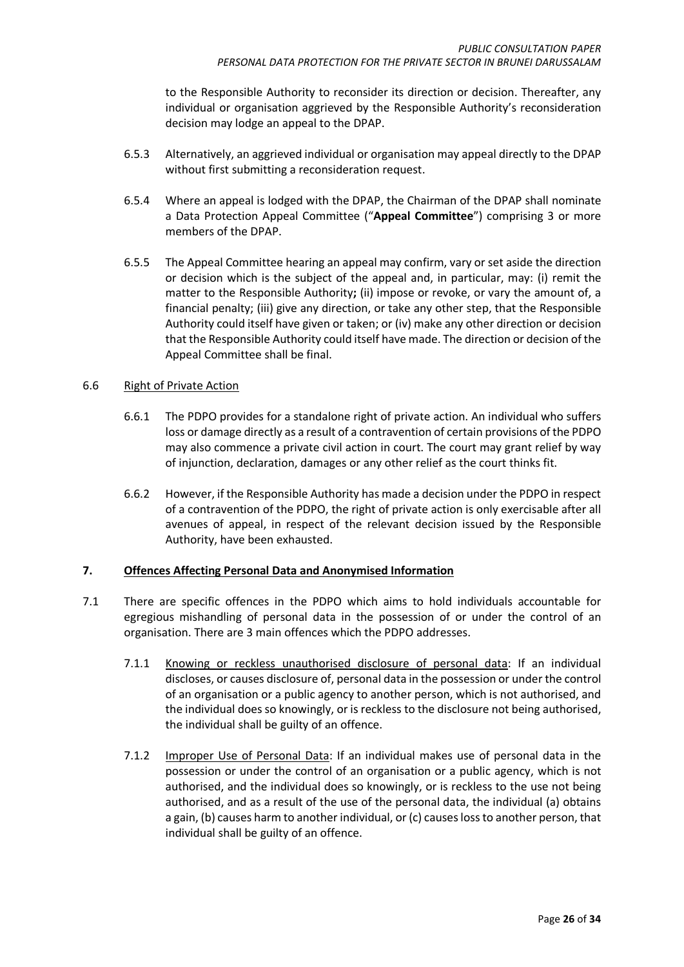to the Responsible Authority to reconsider its direction or decision. Thereafter, any individual or organisation aggrieved by the Responsible Authority's reconsideration decision may lodge an appeal to the DPAP.

- 6.5.3 Alternatively, an aggrieved individual or organisation may appeal directly to the DPAP without first submitting a reconsideration request.
- 6.5.4 Where an appeal is lodged with the DPAP, the Chairman of the DPAP shall nominate a Data Protection Appeal Committee ("**Appeal Committee**") comprising 3 or more members of the DPAP.
- 6.5.5 The Appeal Committee hearing an appeal may confirm, vary or set aside the direction or decision which is the subject of the appeal and, in particular, may: (i) remit the matter to the Responsible Authority**;** (ii) impose or revoke, or vary the amount of, a financial penalty; (iii) give any direction, or take any other step, that the Responsible Authority could itself have given or taken; or (iv) make any other direction or decision that the Responsible Authority could itself have made. The direction or decision of the Appeal Committee shall be final.

### <span id="page-25-0"></span>6.6 Right of Private Action

- 6.6.1 The PDPO provides for a standalone right of private action. An individual who suffers loss or damage directly as a result of a contravention of certain provisions of the PDPO may also commence a private civil action in court. The court may grant relief by way of injunction, declaration, damages or any other relief as the court thinks fit.
- 6.6.2 However, if the Responsible Authority has made a decision under the PDPO in respect of a contravention of the PDPO, the right of private action is only exercisable after all avenues of appeal, in respect of the relevant decision issued by the Responsible Authority, have been exhausted.

### <span id="page-25-1"></span>**7. Offences Affecting Personal Data and Anonymised Information**

- 7.1 There are specific offences in the PDPO which aims to hold individuals accountable for egregious mishandling of personal data in the possession of or under the control of an organisation. There are 3 main offences which the PDPO addresses.
	- 7.1.1 Knowing or reckless unauthorised disclosure of personal data: If an individual discloses, or causes disclosure of, personal data in the possession or under the control of an organisation or a public agency to another person, which is not authorised, and the individual does so knowingly, or is reckless to the disclosure not being authorised, the individual shall be guilty of an offence.
	- 7.1.2 Improper Use of Personal Data: If an individual makes use of personal data in the possession or under the control of an organisation or a public agency, which is not authorised, and the individual does so knowingly, or is reckless to the use not being authorised, and as a result of the use of the personal data, the individual (a) obtains a gain, (b) causes harm to another individual, or (c) causes loss to another person, that individual shall be guilty of an offence.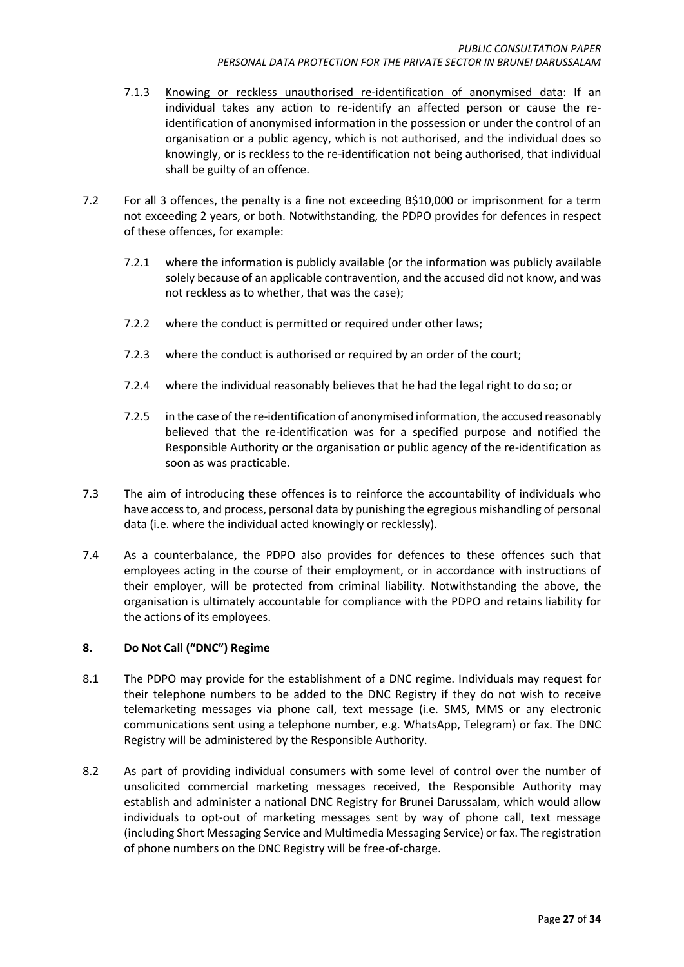- 7.1.3 Knowing or reckless unauthorised re-identification of anonymised data: If an individual takes any action to re-identify an affected person or cause the reidentification of anonymised information in the possession or under the control of an organisation or a public agency, which is not authorised, and the individual does so knowingly, or is reckless to the re-identification not being authorised, that individual shall be guilty of an offence.
- 7.2 For all 3 offences, the penalty is a fine not exceeding B\$10,000 or imprisonment for a term not exceeding 2 years, or both. Notwithstanding, the PDPO provides for defences in respect of these offences, for example:
	- 7.2.1 where the information is publicly available (or the information was publicly available solely because of an applicable contravention, and the accused did not know, and was not reckless as to whether, that was the case);
	- 7.2.2 where the conduct is permitted or required under other laws;
	- 7.2.3 where the conduct is authorised or required by an order of the court;
	- 7.2.4 where the individual reasonably believes that he had the legal right to do so; or
	- 7.2.5 in the case of the re-identification of anonymised information, the accused reasonably believed that the re-identification was for a specified purpose and notified the Responsible Authority or the organisation or public agency of the re-identification as soon as was practicable.
- 7.3 The aim of introducing these offences is to reinforce the accountability of individuals who have access to, and process, personal data by punishing the egregious mishandling of personal data (i.e. where the individual acted knowingly or recklessly).
- 7.4 As a counterbalance, the PDPO also provides for defences to these offences such that employees acting in the course of their employment, or in accordance with instructions of their employer, will be protected from criminal liability. Notwithstanding the above, the organisation is ultimately accountable for compliance with the PDPO and retains liability for the actions of its employees.

### <span id="page-26-0"></span>**8. Do Not Call ("DNC") Regime**

- 8.1 The PDPO may provide for the establishment of a DNC regime. Individuals may request for their telephone numbers to be added to the DNC Registry if they do not wish to receive telemarketing messages via phone call, text message (i.e. SMS, MMS or any electronic communications sent using a telephone number, e.g. WhatsApp, Telegram) or fax. The DNC Registry will be administered by the Responsible Authority.
- 8.2 As part of providing individual consumers with some level of control over the number of unsolicited commercial marketing messages received, the Responsible Authority may establish and administer a national DNC Registry for Brunei Darussalam, which would allow individuals to opt-out of marketing messages sent by way of phone call, text message (including Short Messaging Service and Multimedia Messaging Service) or fax. The registration of phone numbers on the DNC Registry will be free-of-charge.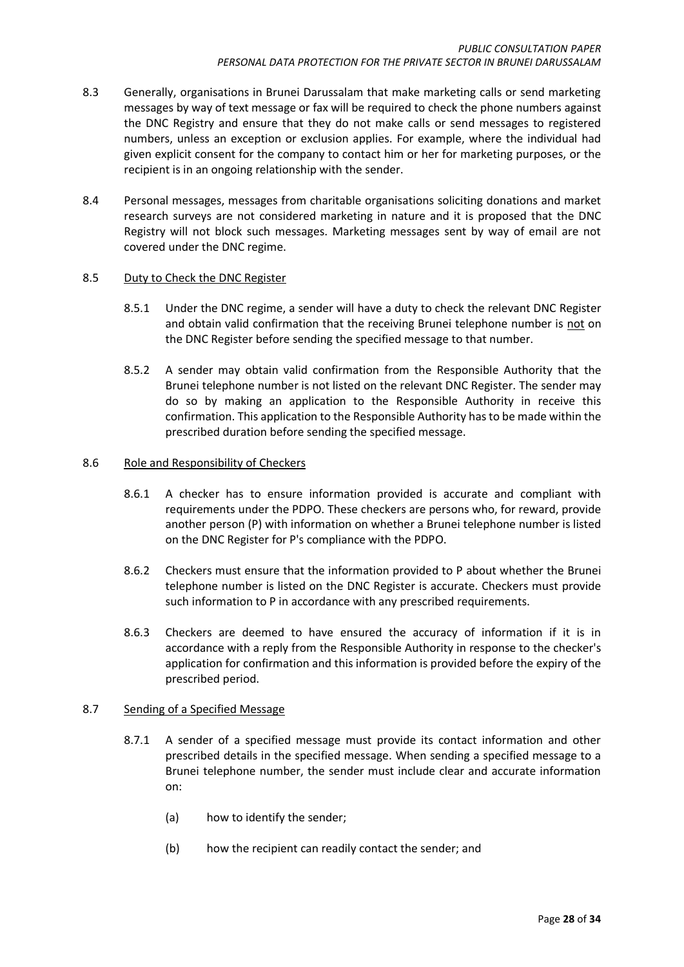- 8.3 Generally, organisations in Brunei Darussalam that make marketing calls or send marketing messages by way of text message or fax will be required to check the phone numbers against the DNC Registry and ensure that they do not make calls or send messages to registered numbers, unless an exception or exclusion applies. For example, where the individual had given explicit consent for the company to contact him or her for marketing purposes, or the recipient is in an ongoing relationship with the sender.
- 8.4 Personal messages, messages from charitable organisations soliciting donations and market research surveys are not considered marketing in nature and it is proposed that the DNC Registry will not block such messages. Marketing messages sent by way of email are not covered under the DNC regime.

#### <span id="page-27-0"></span>8.5 Duty to Check the DNC Register

- 8.5.1 Under the DNC regime, a sender will have a duty to check the relevant DNC Register and obtain valid confirmation that the receiving Brunei telephone number is not on the DNC Register before sending the specified message to that number.
- 8.5.2 A sender may obtain valid confirmation from the Responsible Authority that the Brunei telephone number is not listed on the relevant DNC Register. The sender may do so by making an application to the Responsible Authority in receive this confirmation. This application to the Responsible Authority has to be made within the prescribed duration before sending the specified message.

#### <span id="page-27-1"></span>8.6 Role and Responsibility of Checkers

- 8.6.1 A checker has to ensure information provided is accurate and compliant with requirements under the PDPO. These checkers are persons who, for reward, provide another person (P) with information on whether a Brunei telephone number is listed on the DNC Register for P's compliance with the PDPO.
- 8.6.2 Checkers must ensure that the information provided to P about whether the Brunei telephone number is listed on the DNC Register is accurate. Checkers must provide such information to P in accordance with any prescribed requirements.
- 8.6.3 Checkers are deemed to have ensured the accuracy of information if it is in accordance with a reply from the Responsible Authority in response to the checker's application for confirmation and this information is provided before the expiry of the prescribed period.

### <span id="page-27-2"></span>8.7 Sending of a Specified Message

- 8.7.1 A sender of a specified message must provide its contact information and other prescribed details in the specified message. When sending a specified message to a Brunei telephone number, the sender must include clear and accurate information on:
	- (a) how to identify the sender;
	- (b) how the recipient can readily contact the sender; and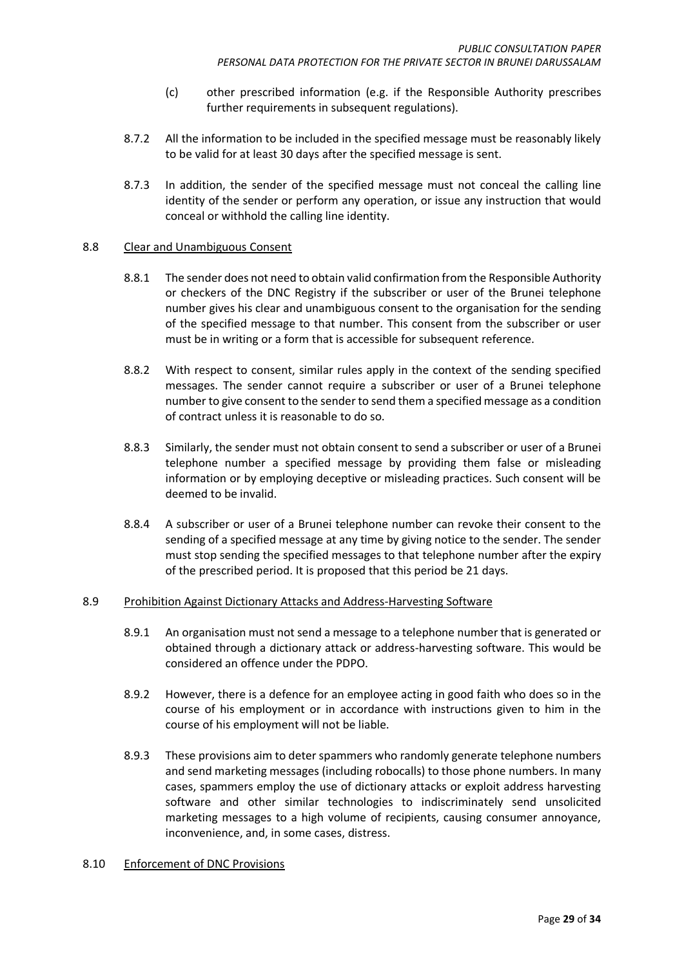- (c) other prescribed information (e.g. if the Responsible Authority prescribes further requirements in subsequent regulations).
- 8.7.2 All the information to be included in the specified message must be reasonably likely to be valid for at least 30 days after the specified message is sent.
- 8.7.3 In addition, the sender of the specified message must not conceal the calling line identity of the sender or perform any operation, or issue any instruction that would conceal or withhold the calling line identity.

#### <span id="page-28-0"></span>8.8 Clear and Unambiguous Consent

- 8.8.1 The sender does not need to obtain valid confirmation from the Responsible Authority or checkers of the DNC Registry if the subscriber or user of the Brunei telephone number gives his clear and unambiguous consent to the organisation for the sending of the specified message to that number. This consent from the subscriber or user must be in writing or a form that is accessible for subsequent reference.
- 8.8.2 With respect to consent, similar rules apply in the context of the sending specified messages. The sender cannot require a subscriber or user of a Brunei telephone number to give consent to the sender to send them a specified message as a condition of contract unless it is reasonable to do so.
- 8.8.3 Similarly, the sender must not obtain consent to send a subscriber or user of a Brunei telephone number a specified message by providing them false or misleading information or by employing deceptive or misleading practices. Such consent will be deemed to be invalid.
- 8.8.4 A subscriber or user of a Brunei telephone number can revoke their consent to the sending of a specified message at any time by giving notice to the sender. The sender must stop sending the specified messages to that telephone number after the expiry of the prescribed period. It is proposed that this period be 21 days.

### <span id="page-28-1"></span>8.9 Prohibition Against Dictionary Attacks and Address-Harvesting Software

- 8.9.1 An organisation must not send a message to a telephone number that is generated or obtained through a dictionary attack or address-harvesting software. This would be considered an offence under the PDPO.
- 8.9.2 However, there is a defence for an employee acting in good faith who does so in the course of his employment or in accordance with instructions given to him in the course of his employment will not be liable.
- 8.9.3 These provisions aim to deter spammers who randomly generate telephone numbers and send marketing messages (including robocalls) to those phone numbers. In many cases, spammers employ the use of dictionary attacks or exploit address harvesting software and other similar technologies to indiscriminately send unsolicited marketing messages to a high volume of recipients, causing consumer annoyance, inconvenience, and, in some cases, distress.

#### <span id="page-28-2"></span>8.10 Enforcement of DNC Provisions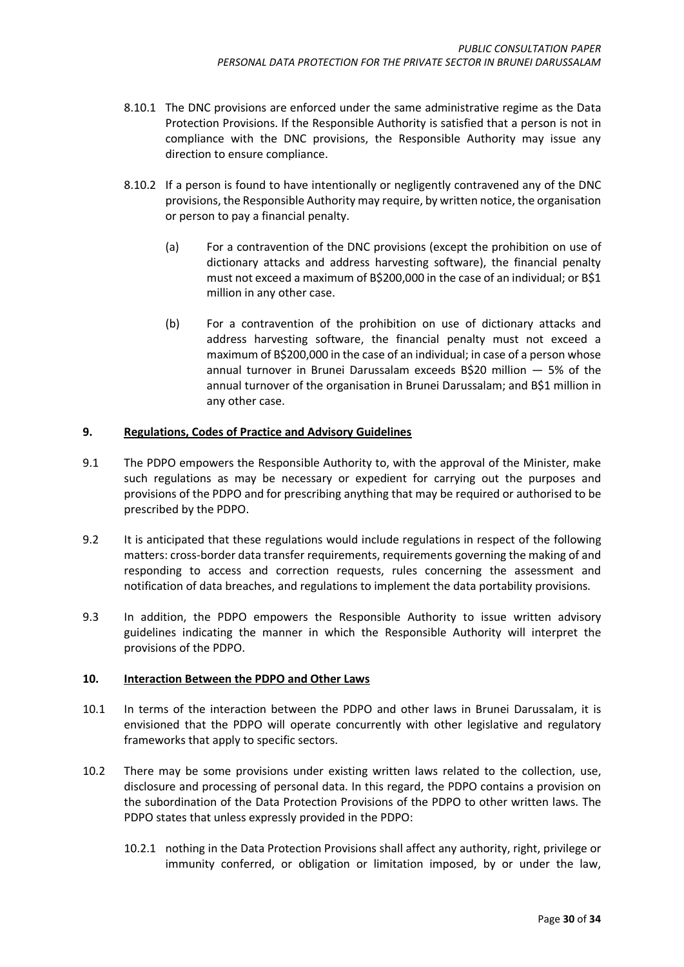- 8.10.1 The DNC provisions are enforced under the same administrative regime as the Data Protection Provisions. If the Responsible Authority is satisfied that a person is not in compliance with the DNC provisions, the Responsible Authority may issue any direction to ensure compliance.
- 8.10.2 If a person is found to have intentionally or negligently contravened any of the DNC provisions, the Responsible Authority may require, by written notice, the organisation or person to pay a financial penalty.
	- (a) For a contravention of the DNC provisions (except the prohibition on use of dictionary attacks and address harvesting software), the financial penalty must not exceed a maximum of B\$200,000 in the case of an individual; or B\$1 million in any other case.
	- (b) For a contravention of the prohibition on use of dictionary attacks and address harvesting software, the financial penalty must not exceed a maximum of B\$200,000 in the case of an individual; in case of a person whose annual turnover in Brunei Darussalam exceeds B\$20 million — 5% of the annual turnover of the organisation in Brunei Darussalam; and B\$1 million in any other case.

## <span id="page-29-0"></span>**9. Regulations, Codes of Practice and Advisory Guidelines**

- 9.1 The PDPO empowers the Responsible Authority to, with the approval of the Minister, make such regulations as may be necessary or expedient for carrying out the purposes and provisions of the PDPO and for prescribing anything that may be required or authorised to be prescribed by the PDPO.
- 9.2 It is anticipated that these regulations would include regulations in respect of the following matters: cross-border data transfer requirements, requirements governing the making of and responding to access and correction requests, rules concerning the assessment and notification of data breaches, and regulations to implement the data portability provisions.
- 9.3 In addition, the PDPO empowers the Responsible Authority to issue written advisory guidelines indicating the manner in which the Responsible Authority will interpret the provisions of the PDPO.

### <span id="page-29-1"></span>**10. Interaction Between the PDPO and Other Laws**

- 10.1 In terms of the interaction between the PDPO and other laws in Brunei Darussalam, it is envisioned that the PDPO will operate concurrently with other legislative and regulatory frameworks that apply to specific sectors.
- 10.2 There may be some provisions under existing written laws related to the collection, use, disclosure and processing of personal data. In this regard, the PDPO contains a provision on the subordination of the Data Protection Provisions of the PDPO to other written laws. The PDPO states that unless expressly provided in the PDPO:
	- 10.2.1 nothing in the Data Protection Provisions shall affect any authority, right, privilege or immunity conferred, or obligation or limitation imposed, by or under the law,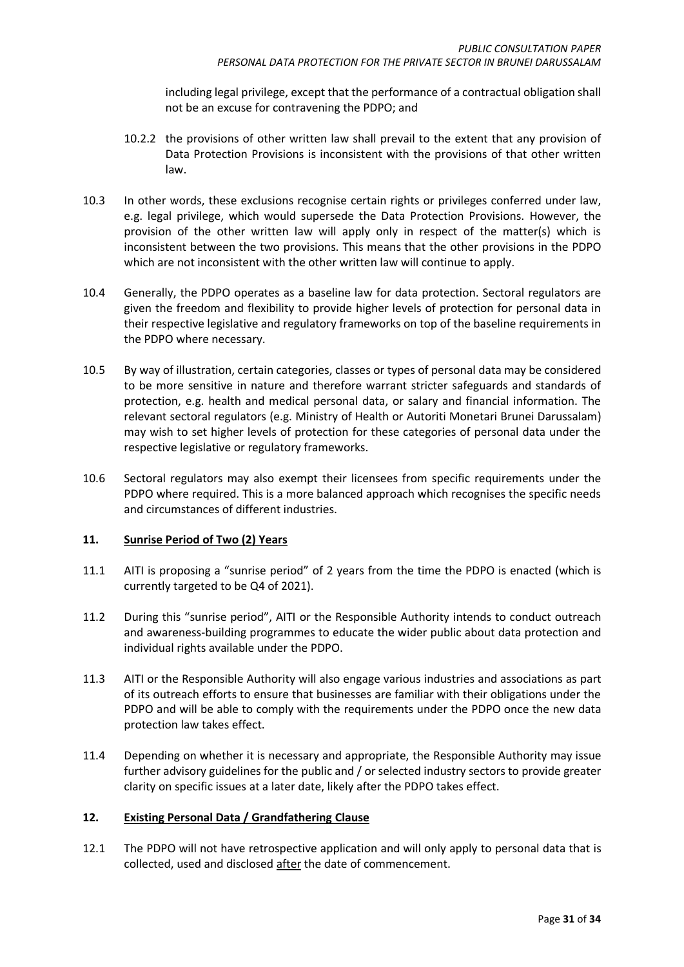including legal privilege, except that the performance of a contractual obligation shall not be an excuse for contravening the PDPO; and

- 10.2.2 the provisions of other written law shall prevail to the extent that any provision of Data Protection Provisions is inconsistent with the provisions of that other written law.
- 10.3 In other words, these exclusions recognise certain rights or privileges conferred under law, e.g. legal privilege, which would supersede the Data Protection Provisions. However, the provision of the other written law will apply only in respect of the matter(s) which is inconsistent between the two provisions. This means that the other provisions in the PDPO which are not inconsistent with the other written law will continue to apply.
- 10.4 Generally, the PDPO operates as a baseline law for data protection. Sectoral regulators are given the freedom and flexibility to provide higher levels of protection for personal data in their respective legislative and regulatory frameworks on top of the baseline requirements in the PDPO where necessary.
- 10.5 By way of illustration, certain categories, classes or types of personal data may be considered to be more sensitive in nature and therefore warrant stricter safeguards and standards of protection, e.g. health and medical personal data, or salary and financial information. The relevant sectoral regulators (e.g. Ministry of Health or Autoriti Monetari Brunei Darussalam) may wish to set higher levels of protection for these categories of personal data under the respective legislative or regulatory frameworks.
- 10.6 Sectoral regulators may also exempt their licensees from specific requirements under the PDPO where required. This is a more balanced approach which recognises the specific needs and circumstances of different industries.

### <span id="page-30-0"></span>**11. Sunrise Period of Two (2) Years**

- 11.1 AITI is proposing a "sunrise period" of 2 years from the time the PDPO is enacted (which is currently targeted to be Q4 of 2021).
- 11.2 During this "sunrise period", AITI or the Responsible Authority intends to conduct outreach and awareness-building programmes to educate the wider public about data protection and individual rights available under the PDPO.
- 11.3 AITI or the Responsible Authority will also engage various industries and associations as part of its outreach efforts to ensure that businesses are familiar with their obligations under the PDPO and will be able to comply with the requirements under the PDPO once the new data protection law takes effect.
- 11.4 Depending on whether it is necessary and appropriate, the Responsible Authority may issue further advisory guidelines for the public and / or selected industry sectors to provide greater clarity on specific issues at a later date, likely after the PDPO takes effect.

# <span id="page-30-1"></span>**12. Existing Personal Data / Grandfathering Clause**

12.1 The PDPO will not have retrospective application and will only apply to personal data that is collected, used and disclosed after the date of commencement.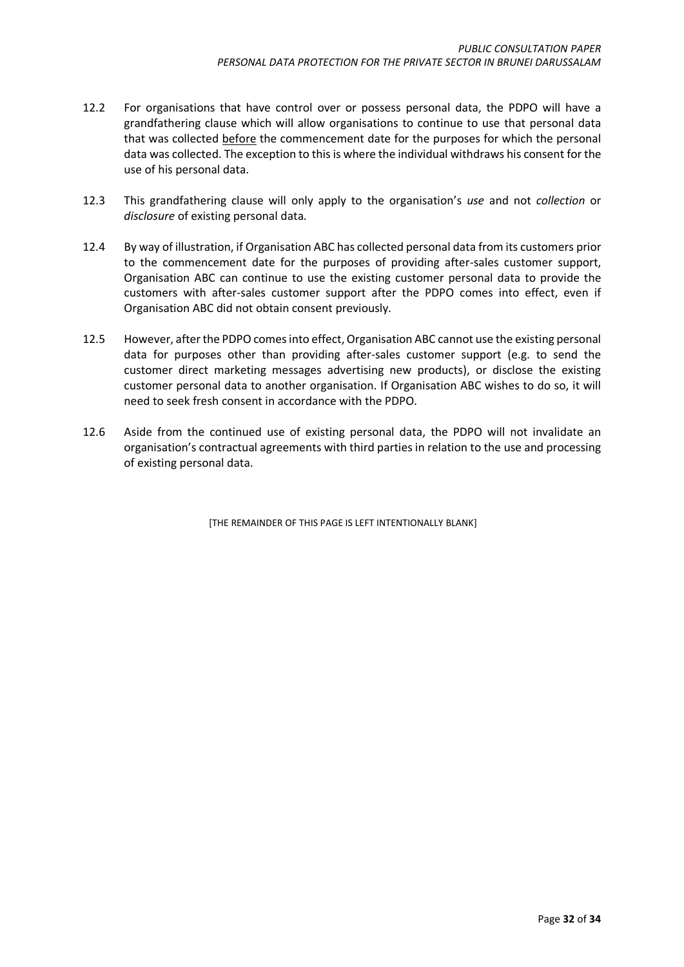- 12.2 For organisations that have control over or possess personal data, the PDPO will have a grandfathering clause which will allow organisations to continue to use that personal data that was collected before the commencement date for the purposes for which the personal data was collected. The exception to this is where the individual withdraws his consent for the use of his personal data.
- 12.3 This grandfathering clause will only apply to the organisation's *use* and not *collection* or *disclosure* of existing personal data.
- 12.4 By way of illustration, if Organisation ABC has collected personal data from its customers prior to the commencement date for the purposes of providing after-sales customer support, Organisation ABC can continue to use the existing customer personal data to provide the customers with after-sales customer support after the PDPO comes into effect, even if Organisation ABC did not obtain consent previously.
- 12.5 However, after the PDPO comes into effect, Organisation ABC cannot use the existing personal data for purposes other than providing after-sales customer support (e.g. to send the customer direct marketing messages advertising new products), or disclose the existing customer personal data to another organisation. If Organisation ABC wishes to do so, it will need to seek fresh consent in accordance with the PDPO.
- 12.6 Aside from the continued use of existing personal data, the PDPO will not invalidate an organisation's contractual agreements with third parties in relation to the use and processing of existing personal data.

[THE REMAINDER OF THIS PAGE IS LEFT INTENTIONALLY BLANK]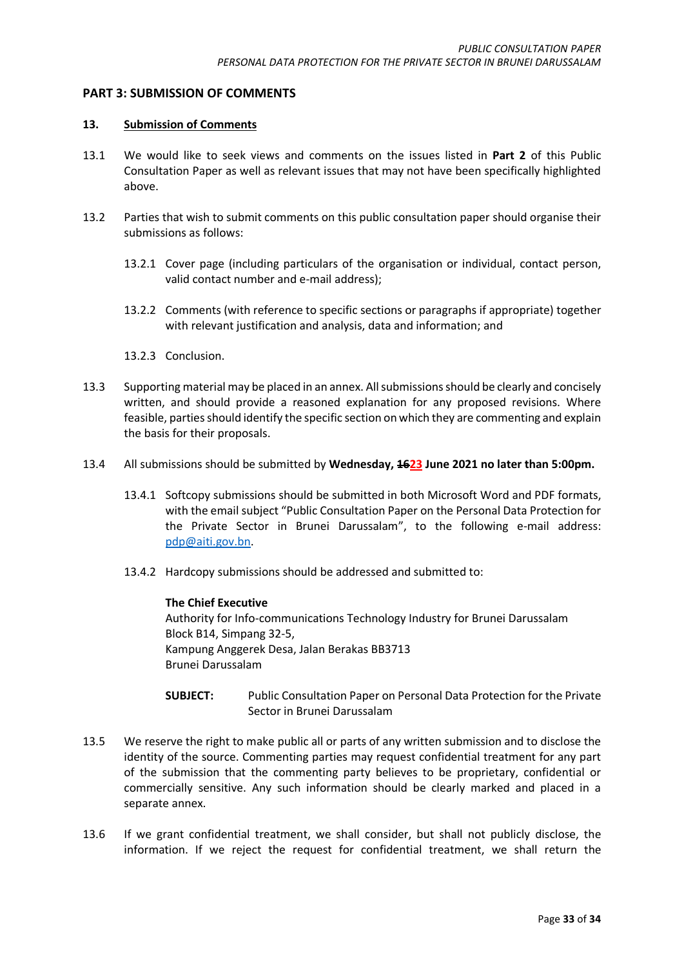## <span id="page-32-0"></span>**PART 3: SUBMISSION OF COMMENTS**

#### <span id="page-32-1"></span>**13. Submission of Comments**

- 13.1 We would like to seek views and comments on the issues listed in **Part 2** of this Public Consultation Paper as well as relevant issues that may not have been specifically highlighted above.
- 13.2 Parties that wish to submit comments on this public consultation paper should organise their submissions as follows:
	- 13.2.1 Cover page (including particulars of the organisation or individual, contact person, valid contact number and e-mail address);
	- 13.2.2 Comments (with reference to specific sections or paragraphs if appropriate) together with relevant justification and analysis, data and information; and
	- 13.2.3 Conclusion.
- 13.3 Supporting material may be placed in an annex. All submissions should be clearly and concisely written, and should provide a reasoned explanation for any proposed revisions. Where feasible, parties should identify the specific section on which they are commenting and explain the basis for their proposals.
- 13.4 All submissions should be submitted by **Wednesday, 1623 June 2021 no later than 5:00pm.**
	- 13.4.1 Softcopy submissions should be submitted in both Microsoft Word and PDF formats, with the email subject "Public Consultation Paper on the Personal Data Protection for the Private Sector in Brunei Darussalam", to the following e-mail address: [pdp@aiti.gov.bn.](mailto:pdp@aiti.gov.bn)
	- 13.4.2 Hardcopy submissions should be addressed and submitted to:

#### **The Chief Executive**

Authority for Info-communications Technology Industry for Brunei Darussalam Block B14, Simpang 32-5, Kampung Anggerek Desa, Jalan Berakas BB3713 Brunei Darussalam

- **SUBJECT:** Public Consultation Paper on Personal Data Protection for the Private Sector in Brunei Darussalam
- 13.5 We reserve the right to make public all or parts of any written submission and to disclose the identity of the source. Commenting parties may request confidential treatment for any part of the submission that the commenting party believes to be proprietary, confidential or commercially sensitive. Any such information should be clearly marked and placed in a separate annex.
- 13.6 If we grant confidential treatment, we shall consider, but shall not publicly disclose, the information. If we reject the request for confidential treatment, we shall return the